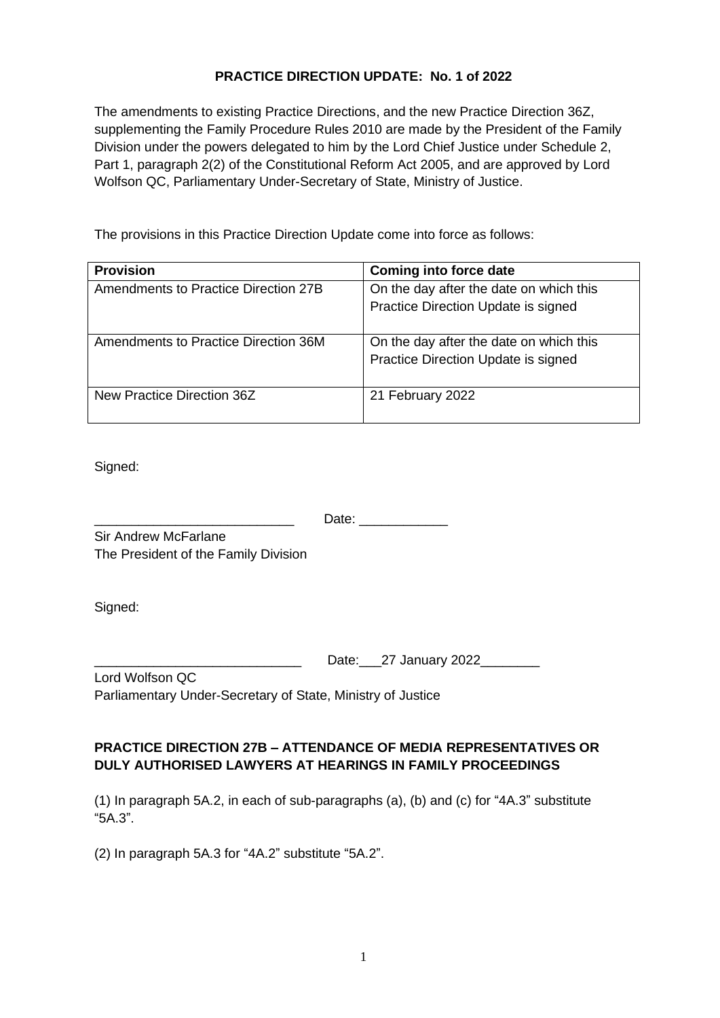# **PRACTICE DIRECTION UPDATE: No. 1 of 2022**

The amendments to existing Practice Directions, and the new Practice Direction 36Z, supplementing the Family Procedure Rules 2010 are made by the President of the Family Division under the powers delegated to him by the Lord Chief Justice under Schedule 2, Part 1, paragraph 2(2) of the Constitutional Reform Act 2005, and are approved by Lord Wolfson QC, Parliamentary Under-Secretary of State, Ministry of Justice.

The provisions in this Practice Direction Update come into force as follows:

| <b>Provision</b>                     | Coming into force date                  |
|--------------------------------------|-----------------------------------------|
| Amendments to Practice Direction 27B | On the day after the date on which this |
|                                      | Practice Direction Update is signed     |
|                                      |                                         |
| Amendments to Practice Direction 36M | On the day after the date on which this |
|                                      | Practice Direction Update is signed     |
| New Practice Direction 36Z           | 21 February 2022                        |

Signed:

| Sir Andrew McFarlane. |  |
|-----------------------|--|

Sir Andrew McFarlane The President of the Family Division

Signed:

Date: 27 January 2022

Lord Wolfson QC Parliamentary Under-Secretary of State, Ministry of Justice

# **PRACTICE DIRECTION 27B – ATTENDANCE OF MEDIA REPRESENTATIVES OR DULY AUTHORISED LAWYERS AT HEARINGS IN FAMILY PROCEEDINGS**

(1) In paragraph 5A.2, in each of sub-paragraphs (a), (b) and (c) for "4A.3" substitute "5A.3".

(2) In paragraph 5A.3 for "4A.2" substitute "5A.2".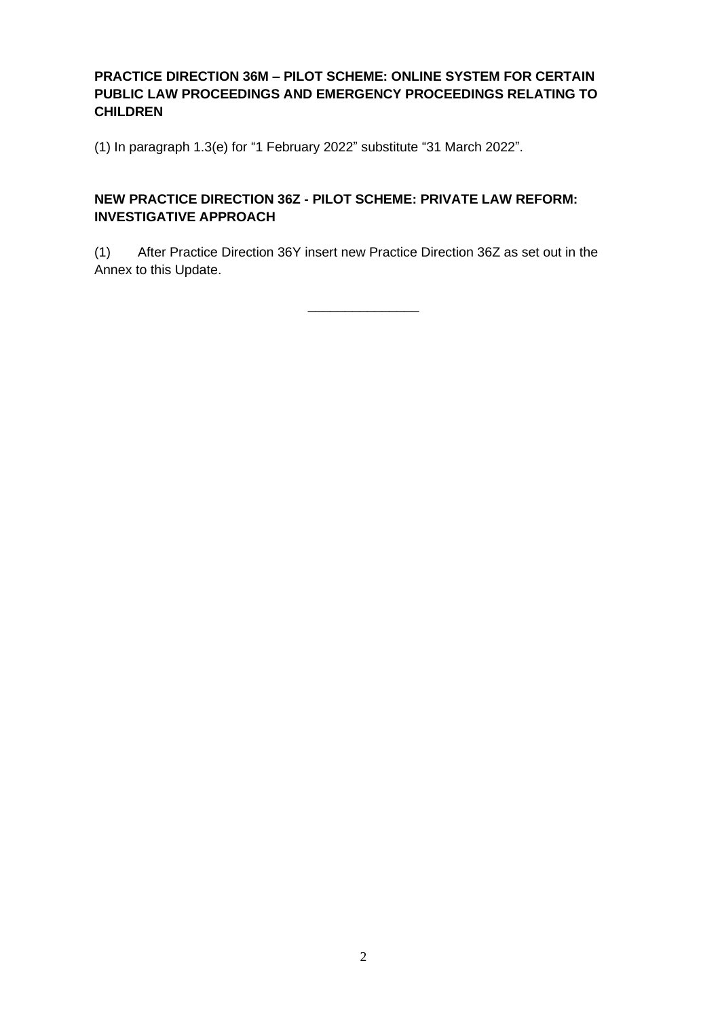# **PRACTICE DIRECTION 36M – PILOT SCHEME: ONLINE SYSTEM FOR CERTAIN PUBLIC LAW PROCEEDINGS AND EMERGENCY PROCEEDINGS RELATING TO CHILDREN**

(1) In paragraph 1.3(e) for "1 February 2022" substitute "31 March 2022".

# **NEW PRACTICE DIRECTION 36Z - PILOT SCHEME: PRIVATE LAW REFORM: INVESTIGATIVE APPROACH**

(1) After Practice Direction 36Y insert new Practice Direction 36Z as set out in the Annex to this Update.

\_\_\_\_\_\_\_\_\_\_\_\_\_\_\_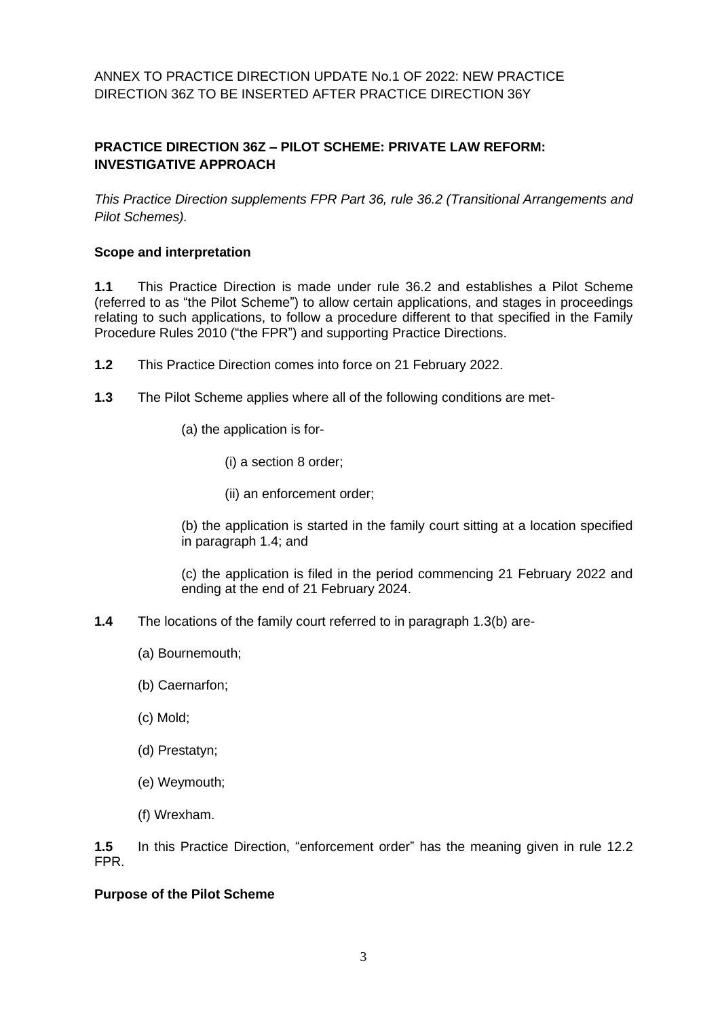ANNEX TO PRACTICE DIRECTION UPDATE No.1 OF 2022: NEW PRACTICE DIRECTION 36Z TO BE INSERTED AFTER PRACTICE DIRECTION 36Y

# **PRACTICE DIRECTION 36Z – PILOT SCHEME: PRIVATE LAW REFORM: INVESTIGATIVE APPROACH**

*This Practice Direction supplements FPR Part 36, rule 36.2 (Transitional Arrangements and Pilot Schemes).*

### **Scope and interpretation**

**1.1** This Practice Direction is made under rule 36.2 and establishes a Pilot Scheme (referred to as "the Pilot Scheme") to allow certain applications, and stages in proceedings relating to such applications, to follow a procedure different to that specified in the Family Procedure Rules 2010 ("the FPR") and supporting Practice Directions.

- **1.2** This Practice Direction comes into force on 21 February 2022.
- **1.3** The Pilot Scheme applies where all of the following conditions are met-
	- (a) the application is for-
		- (i) a section 8 order;
		- (ii) an enforcement order;

(b) the application is started in the family court sitting at a location specified in paragraph 1.4; and

(c) the application is filed in the period commencing 21 February 2022 and ending at the end of 21 February 2024.

- **1.4** The locations of the family court referred to in paragraph 1.3(b) are-
	- (a) Bournemouth;
	- (b) Caernarfon;
	- (c) Mold;
	- (d) Prestatyn;
	- (e) Weymouth;
	- (f) Wrexham.

**1.5** In this Practice Direction, "enforcement order" has the meaning given in rule 12.2 FPR.

### **Purpose of the Pilot Scheme**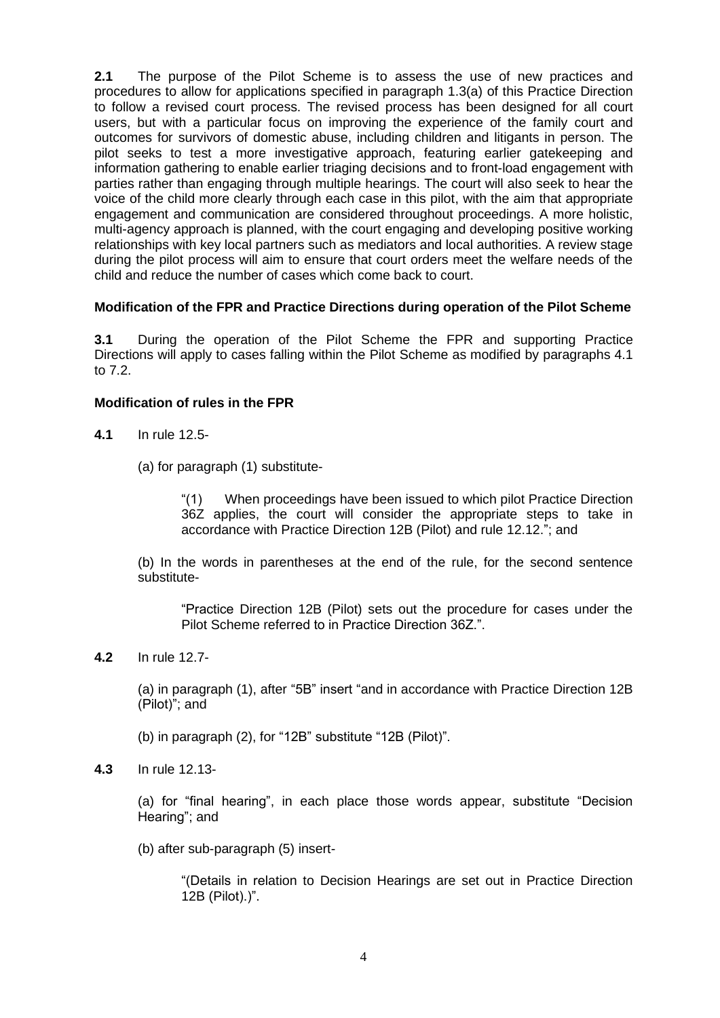**2.1** The purpose of the Pilot Scheme is to assess the use of new practices and procedures to allow for applications specified in paragraph 1.3(a) of this Practice Direction to follow a revised court process. The revised process has been designed for all court users, but with a particular focus on improving the experience of the family court and outcomes for survivors of domestic abuse, including children and litigants in person. The pilot seeks to test a more investigative approach, featuring earlier gatekeeping and information gathering to enable earlier triaging decisions and to front-load engagement with parties rather than engaging through multiple hearings. The court will also seek to hear the voice of the child more clearly through each case in this pilot, with the aim that appropriate engagement and communication are considered throughout proceedings. A more holistic, multi-agency approach is planned, with the court engaging and developing positive working relationships with key local partners such as mediators and local authorities. A review stage during the pilot process will aim to ensure that court orders meet the welfare needs of the child and reduce the number of cases which come back to court.

### **Modification of the FPR and Practice Directions during operation of the Pilot Scheme**

**3.1** During the operation of the Pilot Scheme the FPR and supporting Practice Directions will apply to cases falling within the Pilot Scheme as modified by paragraphs 4.1 to 7.2.

#### **Modification of rules in the FPR**

- **4.1** In rule 12.5-
	- (a) for paragraph (1) substitute-

"(1) When proceedings have been issued to which pilot Practice Direction 36Z applies, the court will consider the appropriate steps to take in accordance with Practice Direction 12B (Pilot) and rule 12.12."; and

(b) In the words in parentheses at the end of the rule, for the second sentence substitute-

"Practice Direction 12B (Pilot) sets out the procedure for cases under the Pilot Scheme referred to in Practice Direction 36Z.".

**4.2** In rule 12.7-

(a) in paragraph (1), after "5B" insert "and in accordance with Practice Direction 12B (Pilot)"; and

(b) in paragraph (2), for "12B" substitute "12B (Pilot)".

**4.3** In rule 12.13-

(a) for "final hearing", in each place those words appear, substitute "Decision Hearing"; and

(b) after sub-paragraph (5) insert-

"(Details in relation to Decision Hearings are set out in Practice Direction 12B (Pilot).)".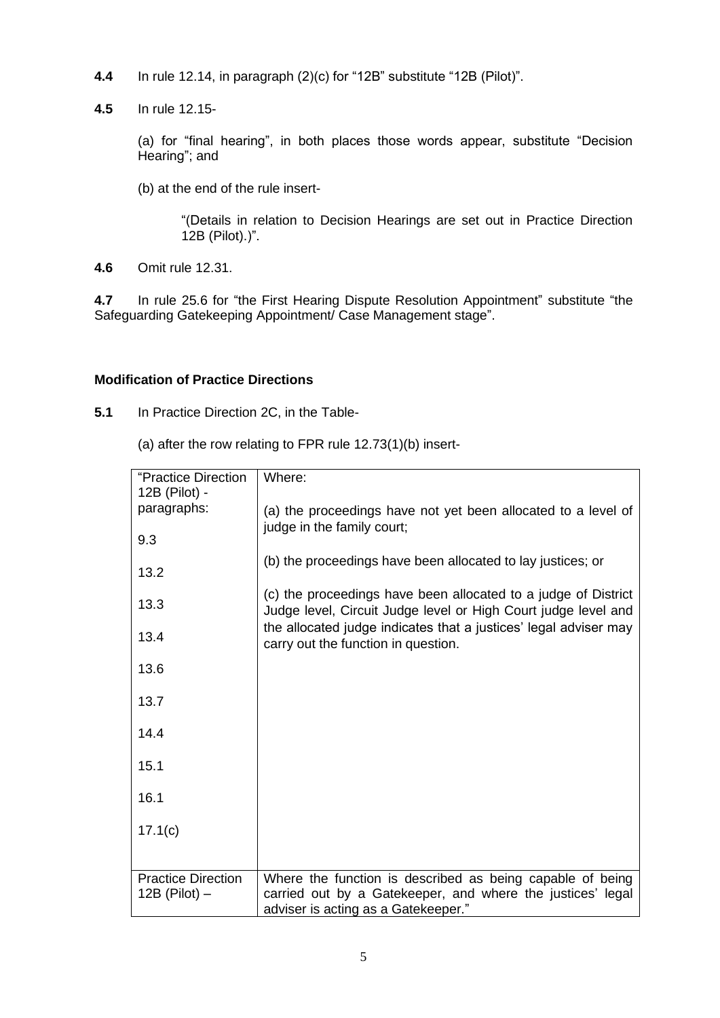- **4.4** In rule 12.14, in paragraph (2)(c) for "12B" substitute "12B (Pilot)".
- **4.5** In rule 12.15-

(a) for "final hearing", in both places those words appear, substitute "Decision Hearing"; and

(b) at the end of the rule insert-

"(Details in relation to Decision Hearings are set out in Practice Direction 12B (Pilot).)".

**4.6** Omit rule 12.31.

**4.7** In rule 25.6 for "the First Hearing Dispute Resolution Appointment" substitute "the Safeguarding Gatekeeping Appointment/ Case Management stage".

#### **Modification of Practice Directions**

**5.1** In Practice Direction 2C, in the Table-

(a) after the row relating to FPR rule 12.73(1)(b) insert-

| "Practice Direction       | Where:                                                                                                                           |
|---------------------------|----------------------------------------------------------------------------------------------------------------------------------|
| 12B (Pilot) -             |                                                                                                                                  |
| paragraphs:               | (a) the proceedings have not yet been allocated to a level of<br>judge in the family court;                                      |
| 9.3                       |                                                                                                                                  |
| 13.2                      | (b) the proceedings have been allocated to lay justices; or                                                                      |
| 13.3                      | (c) the proceedings have been allocated to a judge of District<br>Judge level, Circuit Judge level or High Court judge level and |
| 13.4                      | the allocated judge indicates that a justices' legal adviser may<br>carry out the function in question.                          |
| 13.6                      |                                                                                                                                  |
| 13.7                      |                                                                                                                                  |
| 14.4                      |                                                                                                                                  |
| 15.1                      |                                                                                                                                  |
| 16.1                      |                                                                                                                                  |
| 17.1(c)                   |                                                                                                                                  |
|                           |                                                                                                                                  |
| <b>Practice Direction</b> | Where the function is described as being capable of being                                                                        |
| $12B$ (Pilot) $-$         | carried out by a Gatekeeper, and where the justices' legal                                                                       |
|                           | adviser is acting as a Gatekeeper."                                                                                              |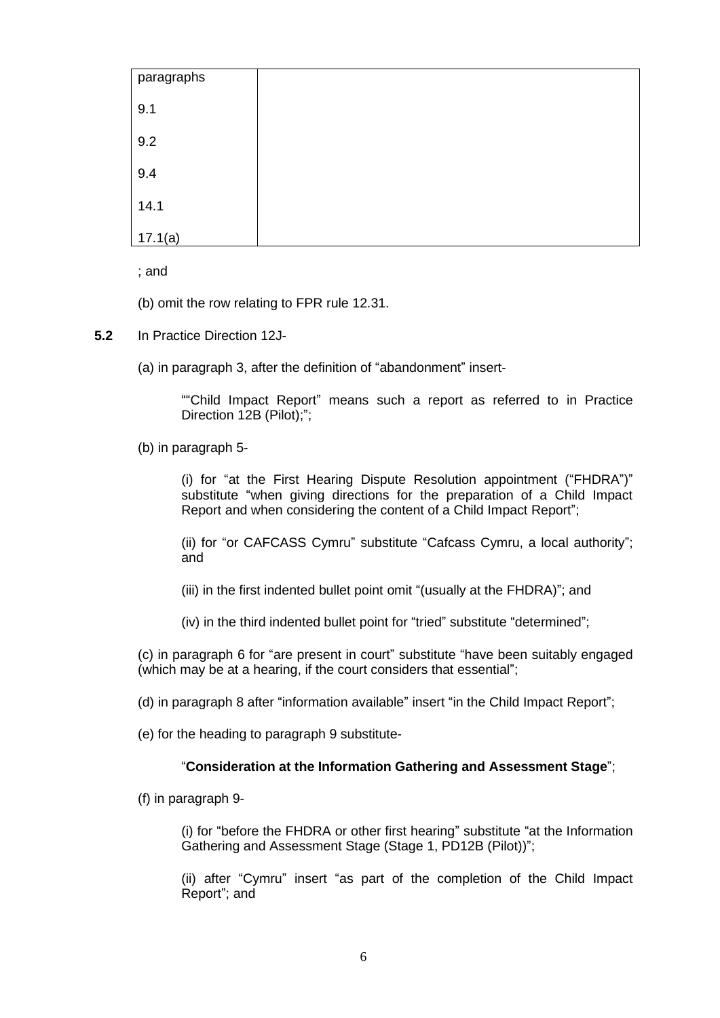| paragraphs |  |  |  |  |
|------------|--|--|--|--|
| 9.1        |  |  |  |  |
| 9.2        |  |  |  |  |
| 9.4        |  |  |  |  |
| 14.1       |  |  |  |  |
| 17.1(a)    |  |  |  |  |

; and

(b) omit the row relating to FPR rule 12.31.

- **5.2** In Practice Direction 12J-
	- (a) in paragraph 3, after the definition of "abandonment" insert-

""Child Impact Report" means such a report as referred to in Practice Direction 12B (Pilot);";

(b) in paragraph 5-

(i) for "at the First Hearing Dispute Resolution appointment ("FHDRA")" substitute "when giving directions for the preparation of a Child Impact Report and when considering the content of a Child Impact Report";

(ii) for "or CAFCASS Cymru" substitute "Cafcass Cymru, a local authority"; and

(iii) in the first indented bullet point omit "(usually at the FHDRA)"; and

(iv) in the third indented bullet point for "tried" substitute "determined";

(c) in paragraph 6 for "are present in court" substitute "have been suitably engaged (which may be at a hearing, if the court considers that essential";

(d) in paragraph 8 after "information available" insert "in the Child Impact Report";

(e) for the heading to paragraph 9 substitute-

#### "**Consideration at the Information Gathering and Assessment Stage**";

(f) in paragraph 9-

(i) for "before the FHDRA or other first hearing" substitute "at the Information Gathering and Assessment Stage (Stage 1, PD12B (Pilot))";

(ii) after "Cymru" insert "as part of the completion of the Child Impact Report"; and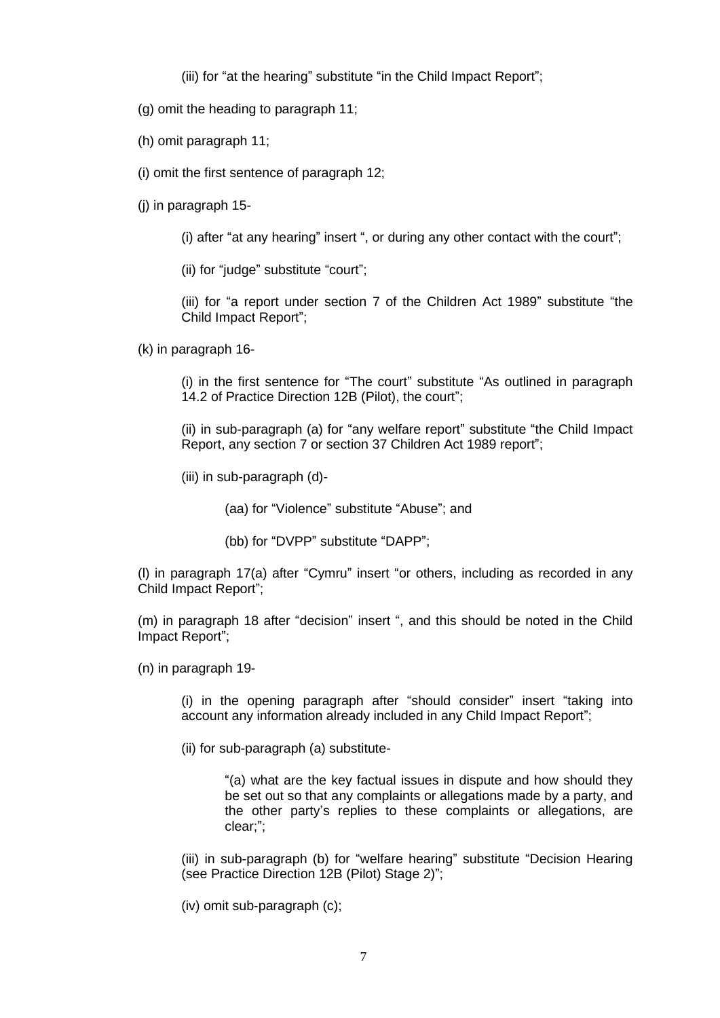- (iii) for "at the hearing" substitute "in the Child Impact Report";
- (g) omit the heading to paragraph 11;
- (h) omit paragraph 11;
- (i) omit the first sentence of paragraph 12;
- (j) in paragraph 15-
	- (i) after "at any hearing" insert ", or during any other contact with the court";
	- (ii) for "judge" substitute "court";
	- (iii) for "a report under section 7 of the Children Act 1989" substitute "the Child Impact Report";
- (k) in paragraph 16-
	- (i) in the first sentence for "The court" substitute "As outlined in paragraph 14.2 of Practice Direction 12B (Pilot), the court";
	- (ii) in sub-paragraph (a) for "any welfare report" substitute "the Child Impact Report, any section 7 or section 37 Children Act 1989 report";
	- (iii) in sub-paragraph (d)-
		- (aa) for "Violence" substitute "Abuse"; and
		- (bb) for "DVPP" substitute "DAPP";
- (l) in paragraph 17(a) after "Cymru" insert "or others, including as recorded in any Child Impact Report";
- (m) in paragraph 18 after "decision" insert ", and this should be noted in the Child Impact Report";
- (n) in paragraph 19-
	- (i) in the opening paragraph after "should consider" insert "taking into account any information already included in any Child Impact Report";
	- (ii) for sub-paragraph (a) substitute-
		- "(a) what are the key factual issues in dispute and how should they be set out so that any complaints or allegations made by a party, and the other party's replies to these complaints or allegations, are clear;";
	- (iii) in sub-paragraph (b) for "welfare hearing" substitute "Decision Hearing (see Practice Direction 12B (Pilot) Stage 2)";
	- (iv) omit sub-paragraph (c);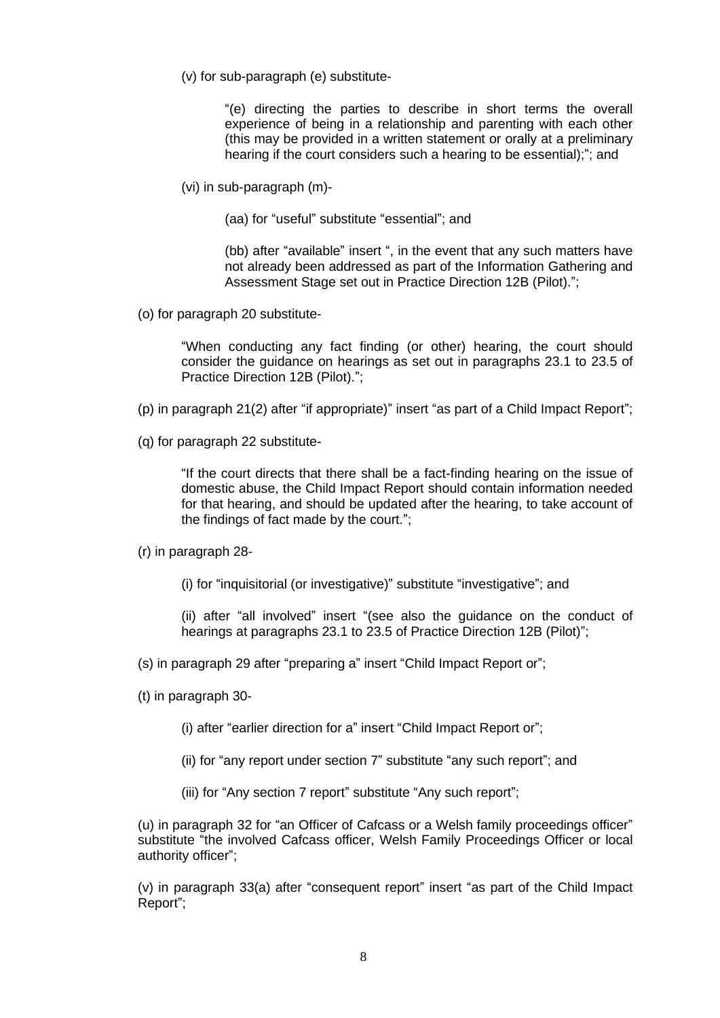(v) for sub-paragraph (e) substitute-

"(e) directing the parties to describe in short terms the overall experience of being in a relationship and parenting with each other (this may be provided in a written statement or orally at a preliminary hearing if the court considers such a hearing to be essential);"; and

(vi) in sub-paragraph (m)-

(aa) for "useful" substitute "essential"; and

(bb) after "available" insert ", in the event that any such matters have not already been addressed as part of the Information Gathering and Assessment Stage set out in Practice Direction 12B (Pilot).";

(o) for paragraph 20 substitute-

"When conducting any fact finding (or other) hearing, the court should consider the guidance on hearings as set out in paragraphs 23.1 to 23.5 of Practice Direction 12B (Pilot).";

- (p) in paragraph 21(2) after "if appropriate)" insert "as part of a Child Impact Report";
- (q) for paragraph 22 substitute-

"If the court directs that there shall be a fact-finding hearing on the issue of domestic abuse, the Child Impact Report should contain information needed for that hearing, and should be updated after the hearing, to take account of the findings of fact made by the court.";

(r) in paragraph 28-

(i) for "inquisitorial (or investigative)" substitute "investigative"; and

(ii) after "all involved" insert "(see also the guidance on the conduct of hearings at paragraphs 23.1 to 23.5 of Practice Direction 12B (Pilot)";

(s) in paragraph 29 after "preparing a" insert "Child Impact Report or";

(t) in paragraph 30-

(i) after "earlier direction for a" insert "Child Impact Report or";

- (ii) for "any report under section 7" substitute "any such report"; and
- (iii) for "Any section 7 report" substitute "Any such report";

(u) in paragraph 32 for "an Officer of Cafcass or a Welsh family proceedings officer" substitute "the involved Cafcass officer, Welsh Family Proceedings Officer or local authority officer";

(v) in paragraph 33(a) after "consequent report" insert "as part of the Child Impact Report";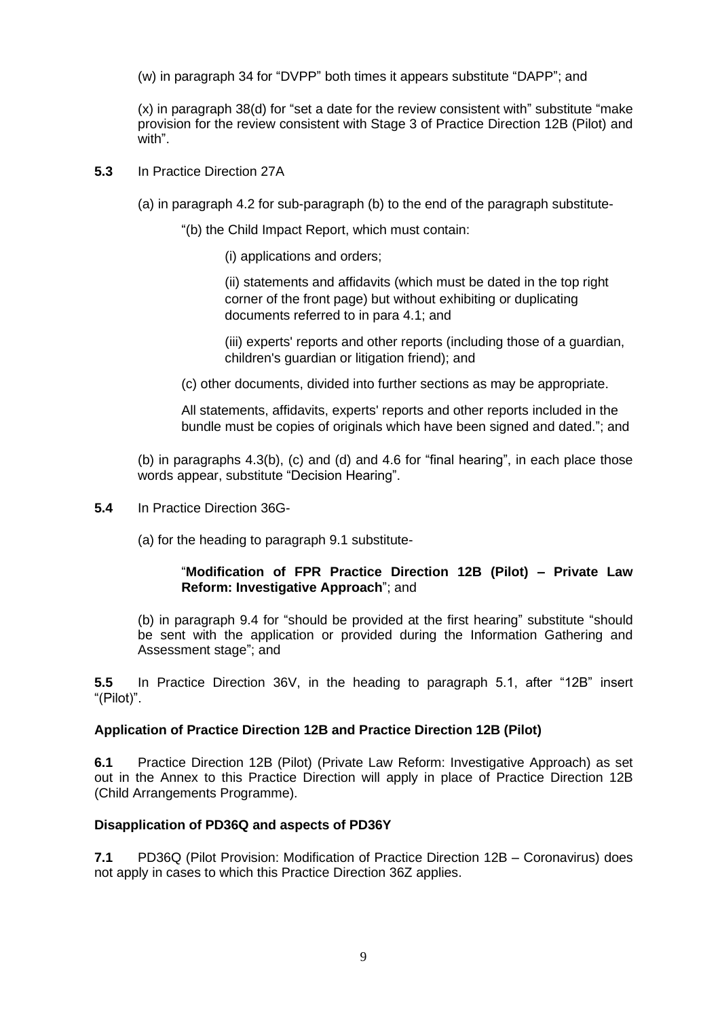(w) in paragraph 34 for "DVPP" both times it appears substitute "DAPP"; and

(x) in paragraph 38(d) for "set a date for the review consistent with" substitute "make provision for the review consistent with Stage 3 of Practice Direction 12B (Pilot) and with".

### **5.3** In Practice Direction 27A

(a) in paragraph 4.2 for sub-paragraph (b) to the end of the paragraph substitute-

"(b) the Child Impact Report, which must contain:

(i) applications and orders;

(ii) statements and affidavits (which must be dated in the top right corner of the front page) but without exhibiting or duplicating documents referred to in para 4.1; and

(iii) experts' reports and other reports (including those of a guardian, children's guardian or litigation friend); and

(c) other documents, divided into further sections as may be appropriate.

All statements, affidavits, experts' reports and other reports included in the bundle must be copies of originals which have been signed and dated."; and

(b) in paragraphs 4.3(b), (c) and (d) and 4.6 for "final hearing", in each place those words appear, substitute "Decision Hearing".

### **5.4** In Practice Direction 36G-

(a) for the heading to paragraph 9.1 substitute-

### "**Modification of FPR Practice Direction 12B (Pilot) – Private Law Reform: Investigative Approach**"; and

(b) in paragraph 9.4 for "should be provided at the first hearing" substitute "should be sent with the application or provided during the Information Gathering and Assessment stage"; and

**5.5** In Practice Direction 36V, in the heading to paragraph 5.1, after "12B" insert "(Pilot)".

# **Application of Practice Direction 12B and Practice Direction 12B (Pilot)**

**6.1** Practice Direction 12B (Pilot) (Private Law Reform: Investigative Approach) as set out in the Annex to this Practice Direction will apply in place of Practice Direction 12B (Child Arrangements Programme).

# **Disapplication of PD36Q and aspects of PD36Y**

**7.1** PD36Q (Pilot Provision: Modification of Practice Direction 12B – Coronavirus) does not apply in cases to which this Practice Direction 36Z applies.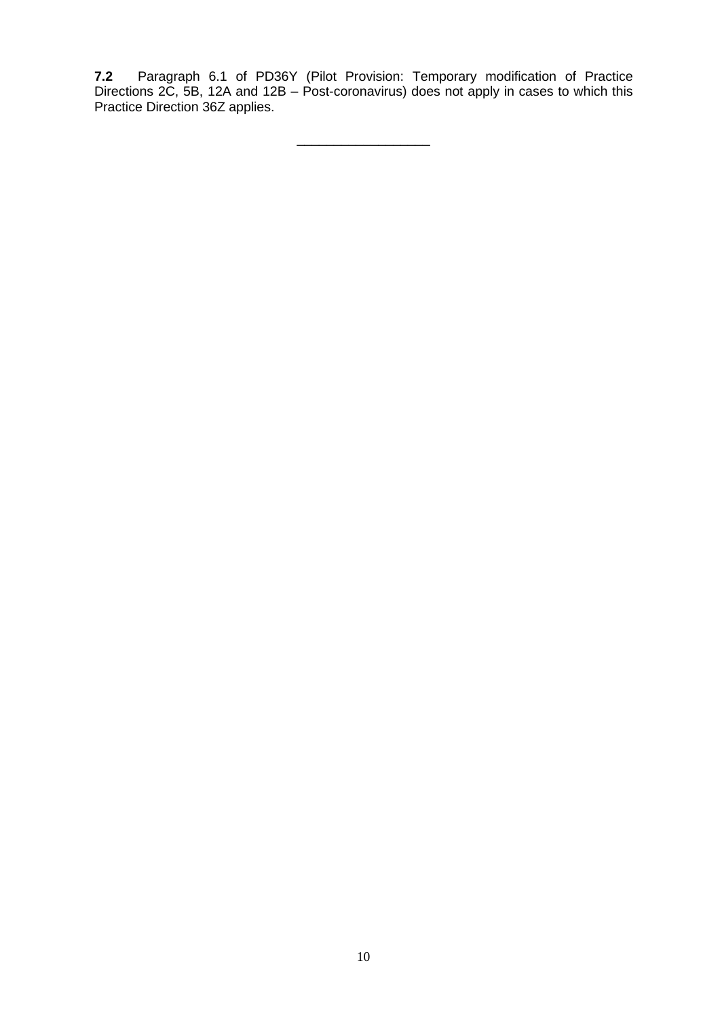**7.2** Paragraph 6.1 of PD36Y (Pilot Provision: Temporary modification of Practice Directions 2C, 5B, 12A and 12B – Post-coronavirus) does not apply in cases to which this Practice Direction 36Z applies.

\_\_\_\_\_\_\_\_\_\_\_\_\_\_\_\_\_\_

10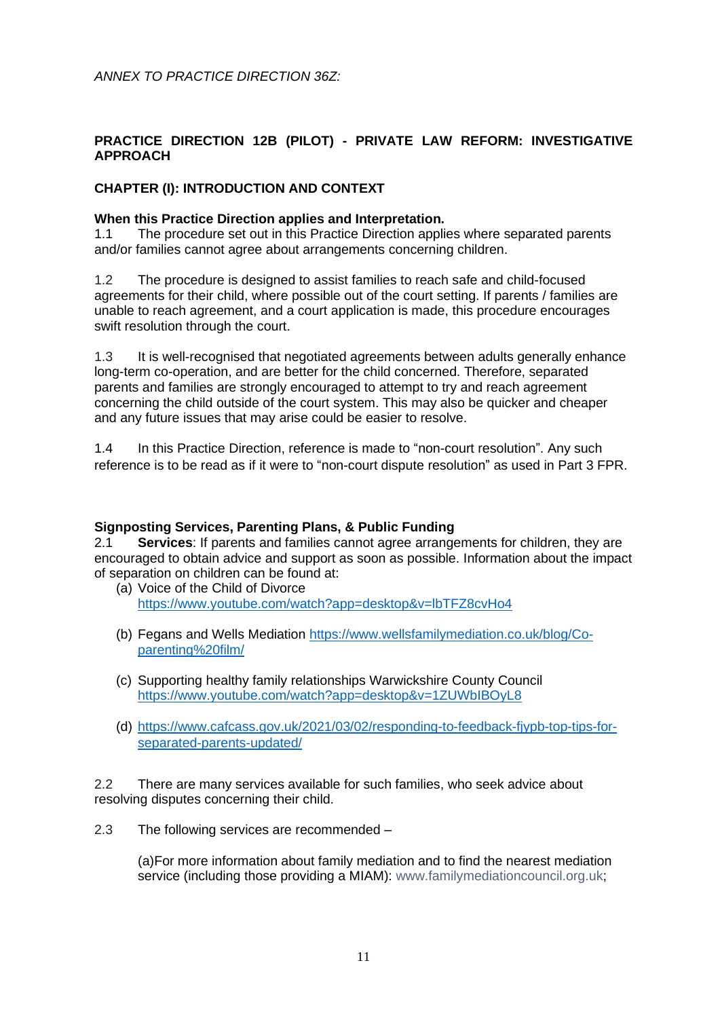### **PRACTICE DIRECTION 12B (PILOT) - PRIVATE LAW REFORM: INVESTIGATIVE APPROACH**

### **CHAPTER (I): INTRODUCTION AND CONTEXT**

#### **When this Practice Direction applies and Interpretation.**

1.1 The procedure set out in this Practice Direction applies where separated parents and/or families cannot agree about arrangements concerning children.

1.2 The procedure is designed to assist families to reach safe and child-focused agreements for their child, where possible out of the court setting. If parents / families are unable to reach agreement, and a court application is made, this procedure encourages swift resolution through the court.

1.3 It is well-recognised that negotiated agreements between adults generally enhance long-term co-operation, and are better for the child concerned. Therefore, separated parents and families are strongly encouraged to attempt to try and reach agreement concerning the child outside of the court system. This may also be quicker and cheaper and any future issues that may arise could be easier to resolve.

1.4 In this Practice Direction, reference is made to "non-court resolution". Any such reference is to be read as if it were to "non-court dispute resolution" as used in Part 3 FPR.

### **Signposting Services, Parenting Plans, & Public Funding**

2.1 **Services**: If parents and families cannot agree arrangements for children, they are encouraged to obtain advice and support as soon as possible. Information about the impact of separation on children can be found at:

- (a) Voice of the Child of Divorce <https://www.youtube.com/watch?app=desktop&v=lbTFZ8cvHo4>
- (b) Fegans and Wells Mediation [https://www.wellsfamilymediation.co.uk/blog/Co](https://www.wellsfamilymediation.co.uk/blog/Co-parenting%20film/)[parenting%20film/](https://www.wellsfamilymediation.co.uk/blog/Co-parenting%20film/)
- (c) Supporting healthy family relationships Warwickshire County Council <https://www.youtube.com/watch?app=desktop&v=1ZUWbIBOyL8>
- (d) [https://www.cafcass.gov.uk/2021/03/02/responding-to-feedback-fjypb-top-tips-for](https://www.cafcass.gov.uk/2021/03/02/responding-to-feedback-fjypb-top-tips-for-separated-parents-updated/)[separated-parents-updated/](https://www.cafcass.gov.uk/2021/03/02/responding-to-feedback-fjypb-top-tips-for-separated-parents-updated/)

2.2 There are many services available for such families, who seek advice about resolving disputes concerning their child.

2.3 The following services are recommended –

(a)For more information about family mediation and to find the nearest mediation service (including those providing a MIAM): [www.familymediationcouncil.org.uk;](http://www.familymediationcouncil.org.uk/)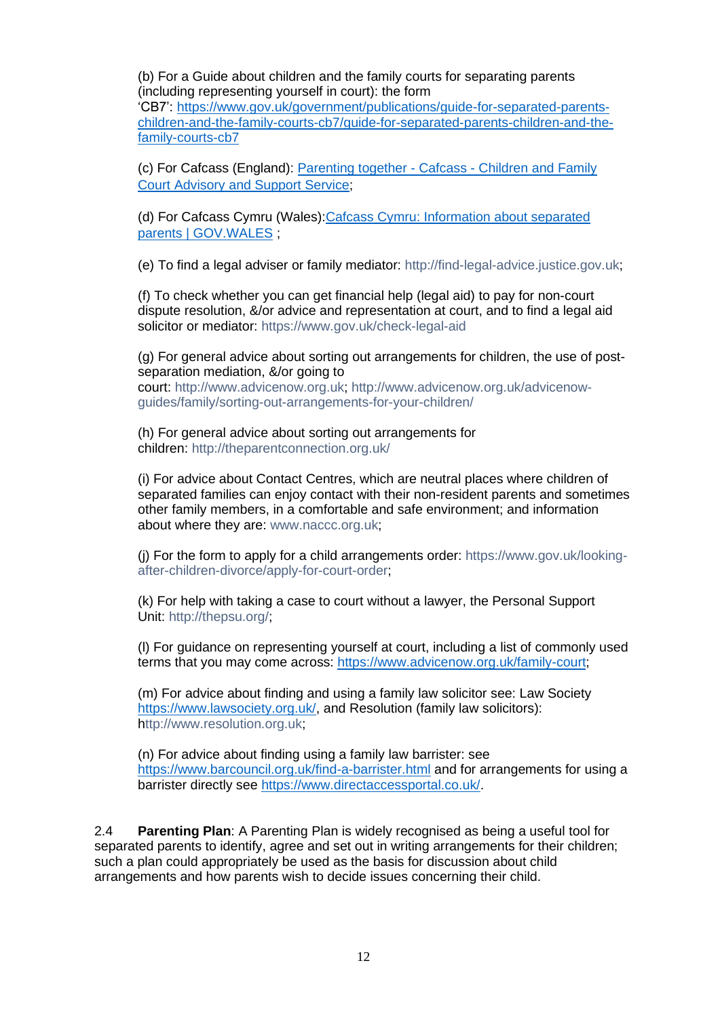(b) For a Guide about children and the family courts for separating parents (including representing yourself in court): the form

'CB7': [https://www.gov.uk/government/publications/guide-for-separated-parents](https://www.gov.uk/government/publications/guide-for-separated-parents-children-and-the-family-courts-cb7/guide-for-separated-parents-children-and-the-family-courts-cb7)[children-and-the-family-courts-cb7/guide-for-separated-parents-children-and-the](https://www.gov.uk/government/publications/guide-for-separated-parents-children-and-the-family-courts-cb7/guide-for-separated-parents-children-and-the-family-courts-cb7)[family-courts-cb7](https://www.gov.uk/government/publications/guide-for-separated-parents-children-and-the-family-courts-cb7/guide-for-separated-parents-children-and-the-family-courts-cb7)

(c) For Cafcass (England): [Parenting together -](https://www.cafcass.gov.uk/grown-ups/parents-and-carers/divorce-and-separation/parenting-together/) Cafcass - Children and Family [Court Advisory and Support Service;](https://www.cafcass.gov.uk/grown-ups/parents-and-carers/divorce-and-separation/parenting-together/)

(d) For Cafcass Cymru (Wales)[:Cafcass Cymru: Information about separated](https://gov.wales/cafcass-cymru/family-separation)  [parents | GOV.WALES](https://gov.wales/cafcass-cymru/family-separation) ;

(e) To find a legal adviser or family mediator: [http://find-legal-advice.justice.gov.uk;](http://find-legal-advice.justice.gov.uk/)

(f) To check whether you can get financial help (legal aid) to pay for non-court dispute resolution, &/or advice and representation at court, and to find a legal aid solicitor or mediator: <https://www.gov.uk/check-legal-aid>

(g) For general advice about sorting out arrangements for children, the use of postseparation mediation, &/or going to

court: [http://www.advicenow.org.uk;](http://www.advicenow.org.uk/) [http://www.advicenow.org.uk/advicenow](http://www.advicenow.org.uk/advicenow-guides/family/sorting-out-arrangements-for-your-children)[guides/family/sorting-out-arrangements-for-your-children/](http://www.advicenow.org.uk/advicenow-guides/family/sorting-out-arrangements-for-your-children)

(h) For general advice about sorting out arrangements for children: <http://theparentconnection.org.uk/>

(i) For advice about Contact Centres, which are neutral places where children of separated families can enjoy contact with their non-resident parents and sometimes other family members, in a comfortable and safe environment; and information about where they are: [www.naccc.org.uk;](http://www.naccc.org.uk/)

(j) For the form to apply for a child arrangements order: [https://www.gov.uk/looking](https://www.gov.uk/looking-after-children-divorce/apply-for-court-order)[after-children-divorce/apply-for-court-order;](https://www.gov.uk/looking-after-children-divorce/apply-for-court-order)

(k) For help with taking a case to court without a lawyer, the Personal Support Unit: [http://thepsu.org/;](http://thepsu.org/)

(l) For guidance on representing yourself at court, including a list of commonly used terms that you may come across: [https://www.advicenow.org.uk/family-court;](https://www.advicenow.org.uk/family-court)

(m) For advice about finding and using a family law solicitor see: Law Society [https://www.lawsociety.org.uk/,](https://www.lawsociety.org.uk/) and Resolution (family law solicitors): [http://www.resolution.org.uk;](http://ttp/www.resolution.org.uk)

(n) For advice about finding using a family law barrister: see <https://www.barcouncil.org.uk/find-a-barrister.html> and for arrangements for using a barrister directly see [https://www.directaccessportal.co.uk/.](https://www.directaccessportal.co.uk/)

2.4 **Parenting Plan**: A Parenting Plan is widely recognised as being a useful tool for separated parents to identify, agree and set out in writing arrangements for their children; such a plan could appropriately be used as the basis for discussion about child arrangements and how parents wish to decide issues concerning their child.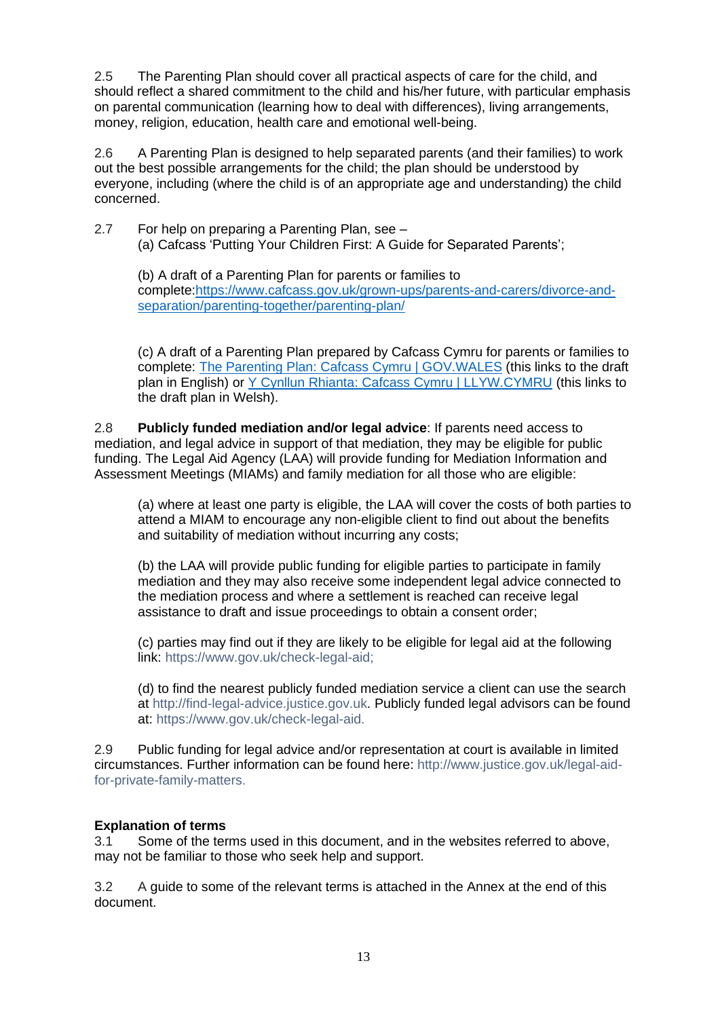2.5 The Parenting Plan should cover all practical aspects of care for the child, and should reflect a shared commitment to the child and his/her future, with particular emphasis on parental communication (learning how to deal with differences), living arrangements, money, religion, education, health care and emotional well-being.

2.6 A Parenting Plan is designed to help separated parents (and their families) to work out the best possible arrangements for the child; the plan should be understood by everyone, including (where the child is of an appropriate age and understanding) the child concerned.

2.7 For help on preparing a Parenting Plan, see – (a) Cafcass 'Putting Your Children First: A Guide for Separated Parents';

(b) A draft of a Parenting Plan for parents or families to complete[:https://www.cafcass.gov.uk/grown-ups/parents-and-carers/divorce-and](https://www.cafcass.gov.uk/grown-ups/parents-and-carers/divorce-and-separation/parenting-together/parenting-plan/)[separation/parenting-together/parenting-plan/](https://www.cafcass.gov.uk/grown-ups/parents-and-carers/divorce-and-separation/parenting-together/parenting-plan/)

(c) A draft of a Parenting Plan prepared by Cafcass Cymru for parents or families to complete: [The Parenting Plan: Cafcass Cymru | GOV.WALES](https://gov.wales/parenting-plan-cafcass-cymru) (this links to the draft plan in English) or Y Cynllun [Rhianta: Cafcass Cymru | LLYW.CYMRU](https://llyw.cymru/y-cynllun-rhianta-cafcass-cymru) (this links to the draft plan in Welsh).

2.8 **Publicly funded mediation and/or legal advice**: If parents need access to mediation, and legal advice in support of that mediation, they may be eligible for public funding. The Legal Aid Agency (LAA) will provide funding for Mediation Information and Assessment Meetings (MIAMs) and family mediation for all those who are eligible:

(a) where at least one party is eligible, the LAA will cover the costs of both parties to attend a MIAM to encourage any non-eligible client to find out about the benefits and suitability of mediation without incurring any costs;

(b) the LAA will provide public funding for eligible parties to participate in family mediation and they may also receive some independent legal advice connected to the mediation process and where a settlement is reached can receive legal assistance to draft and issue proceedings to obtain a consent order;

(c) parties may find out if they are likely to be eligible for legal aid at the following link: [https://www.gov.uk/check-legal-aid;](https://www.gov.uk/check-legal-aid)

(d) to find the nearest publicly funded mediation service a client can use the search at [http://find-legal-advice.justice.gov.uk.](http://find-legal-advice.justice.gov.uk/) Publicly funded legal advisors can be found at: [https://www.gov.uk/check-legal-aid.](https://www.gov.uk/check-legal-aid)

2.9 Public funding for legal advice and/or representation at court is available in limited circumstances. Further information can be found here: [http://www.justice.gov.uk/legal-aid](http://www.justice.gov.uk/legal-aid-for-private-family-matters)[for-private-family-matters.](http://www.justice.gov.uk/legal-aid-for-private-family-matters)

# **Explanation of terms**

3.1 Some of the terms used in this document, and in the websites referred to above, may not be familiar to those who seek help and support.

3.2 A guide to some of the relevant terms is attached in the Annex at the end of this document.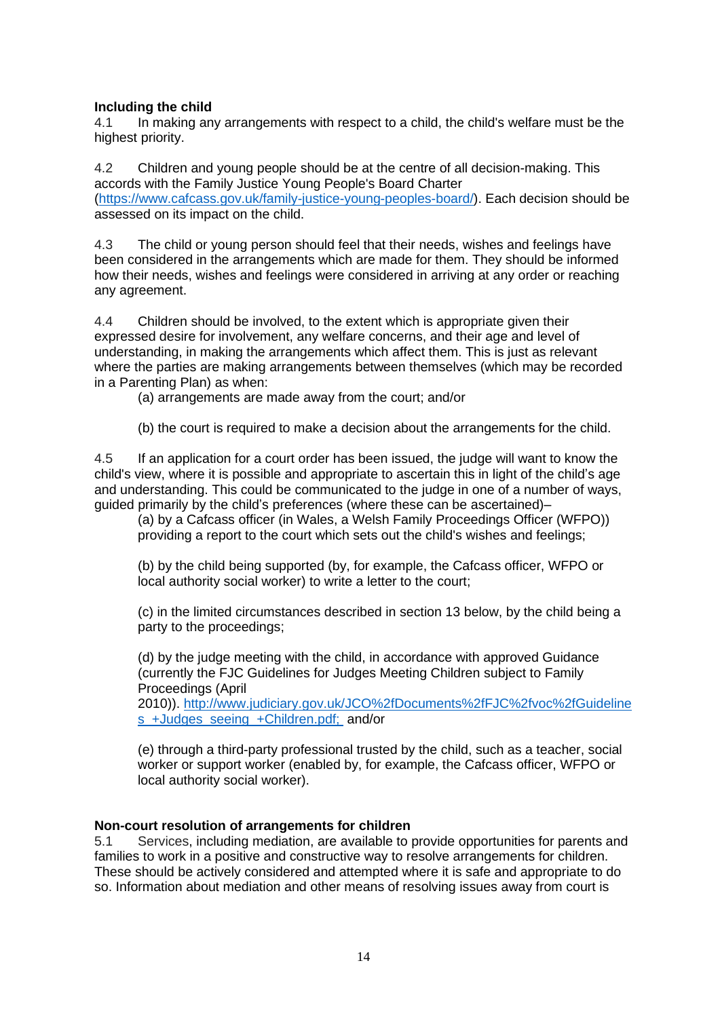### **Including the child**

4.1 In making any arrangements with respect to a child, the child's welfare must be the highest priority.

4.2 Children and young people should be at the centre of all decision-making. This accords with the Family Justice Young People's Board Charter [\(https://www.cafcass.gov.uk/family-justice-young-peoples-board/\)](https://www.cafcass.gov.uk/family-justice-young-peoples-board/). Each decision should be assessed on its impact on the child.

4.3 The child or young person should feel that their needs, wishes and feelings have been considered in the arrangements which are made for them. They should be informed how their needs, wishes and feelings were considered in arriving at any order or reaching any agreement.

4.4 Children should be involved, to the extent which is appropriate given their expressed desire for involvement, any welfare concerns, and their age and level of understanding, in making the arrangements which affect them. This is just as relevant where the parties are making arrangements between themselves (which may be recorded in a Parenting Plan) as when:

(a) arrangements are made away from the court; and/or

(b) the court is required to make a decision about the arrangements for the child.

4.5 If an application for a court order has been issued, the judge will want to know the child's view, where it is possible and appropriate to ascertain this in light of the child's age and understanding. This could be communicated to the judge in one of a number of ways, guided primarily by the child's preferences (where these can be ascertained)–

(a) by a Cafcass officer (in Wales, a Welsh Family Proceedings Officer (WFPO)) providing a report to the court which sets out the child's wishes and feelings;

(b) by the child being supported (by, for example, the Cafcass officer, WFPO or local authority social worker) to write a letter to the court;

(c) in the limited circumstances described in section 13 below, by the child being a party to the proceedings;

(d) by the judge meeting with the child, in accordance with approved Guidance (currently the FJC Guidelines for Judges Meeting Children subject to Family Proceedings (April

2010)). [http://www.judiciary.gov.uk/JCO%2fDocuments%2fFJC%2fvoc%2fGuideline](https://www.judiciary.uk/wp-content/uploads/JCO/Documents/FJC/voc/Guidelines_+Judges_seeing_+Children.pdf) [s\\_+Judges\\_seeing\\_+Children.pdf;](https://www.judiciary.uk/wp-content/uploads/JCO/Documents/FJC/voc/Guidelines_+Judges_seeing_+Children.pdf) and/or

(e) through a third-party professional trusted by the child, such as a teacher, social worker or support worker (enabled by, for example, the Cafcass officer, WFPO or local authority social worker).

### **Non-court resolution of arrangements for children**

5.1 Services, including mediation, are available to provide opportunities for parents and families to work in a positive and constructive way to resolve arrangements for children. These should be actively considered and attempted where it is safe and appropriate to do so. Information about mediation and other means of resolving issues away from court is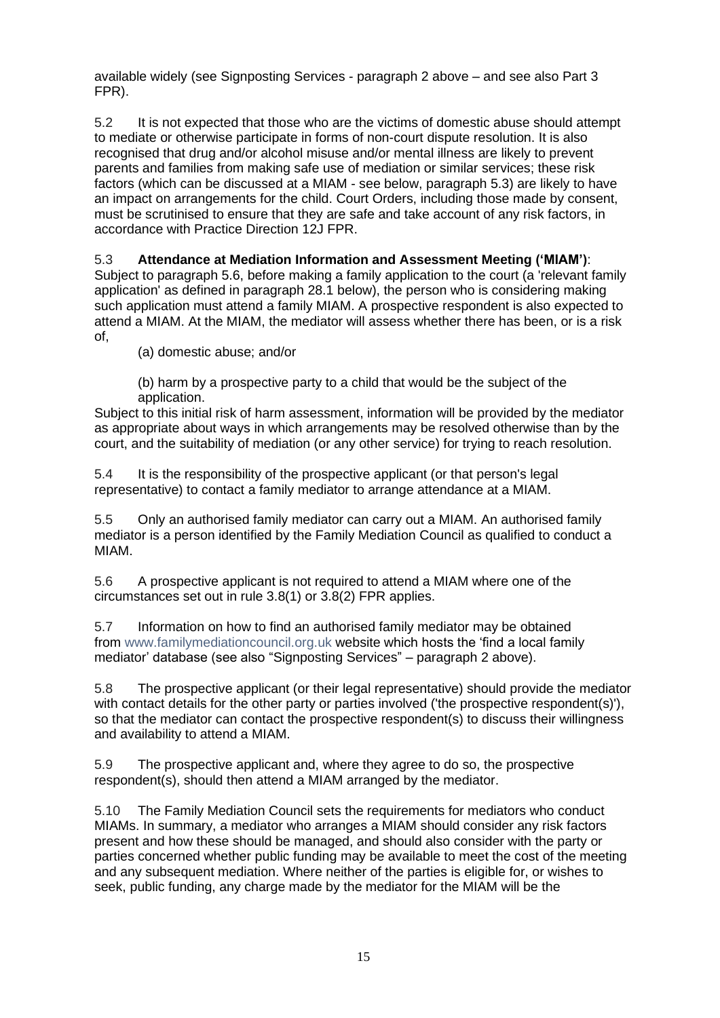available widely (see Signposting Services - paragraph 2 above – and see also Part 3 FPR).

5.2 It is not expected that those who are the victims of domestic abuse should attempt to mediate or otherwise participate in forms of non-court dispute resolution. It is also recognised that drug and/or alcohol misuse and/or mental illness are likely to prevent parents and families from making safe use of mediation or similar services; these risk factors (which can be discussed at a MIAM - see below, paragraph 5.3) are likely to have an impact on arrangements for the child. Court Orders, including those made by consent, must be scrutinised to ensure that they are safe and take account of any risk factors, in accordance with Practice Direction 12J FPR.

5.3 **Attendance at Mediation Information and Assessment Meeting ('MIAM')**: Subject to paragraph 5.6, before making a family application to the court (a 'relevant family application' as defined in paragraph 28.1 below), the person who is considering making such application must attend a family MIAM. A prospective respondent is also expected to attend a MIAM. At the MIAM, the mediator will assess whether there has been, or is a risk of,

(a) domestic abuse; and/or

(b) harm by a prospective party to a child that would be the subject of the application.

Subject to this initial risk of harm assessment, information will be provided by the mediator as appropriate about ways in which arrangements may be resolved otherwise than by the court, and the suitability of mediation (or any other service) for trying to reach resolution.

5.4 It is the responsibility of the prospective applicant (or that person's legal representative) to contact a family mediator to arrange attendance at a MIAM.

5.5 Only an authorised family mediator can carry out a MIAM. An authorised family mediator is a person identified by the Family Mediation Council as qualified to conduct a MIAM.

5.6 A prospective applicant is not required to attend a MIAM where one of the circumstances set out in rule 3.8(1) or 3.8(2) FPR applies.

5.7 Information on how to find an authorised family mediator may be obtained from [www.familymediationcouncil.org.uk](http://www.familymediationcouncil.org.uk/) website which hosts the 'find a local family mediator' database (see also "Signposting Services" – paragraph 2 above).

5.8 The prospective applicant (or their legal representative) should provide the mediator with contact details for the other party or parties involved ('the prospective respondent(s)'), so that the mediator can contact the prospective respondent(s) to discuss their willingness and availability to attend a MIAM.

5.9 The prospective applicant and, where they agree to do so, the prospective respondent(s), should then attend a MIAM arranged by the mediator.

5.10 The Family Mediation Council sets the requirements for mediators who conduct MIAMs. In summary, a mediator who arranges a MIAM should consider any risk factors present and how these should be managed, and should also consider with the party or parties concerned whether public funding may be available to meet the cost of the meeting and any subsequent mediation. Where neither of the parties is eligible for, or wishes to seek, public funding, any charge made by the mediator for the MIAM will be the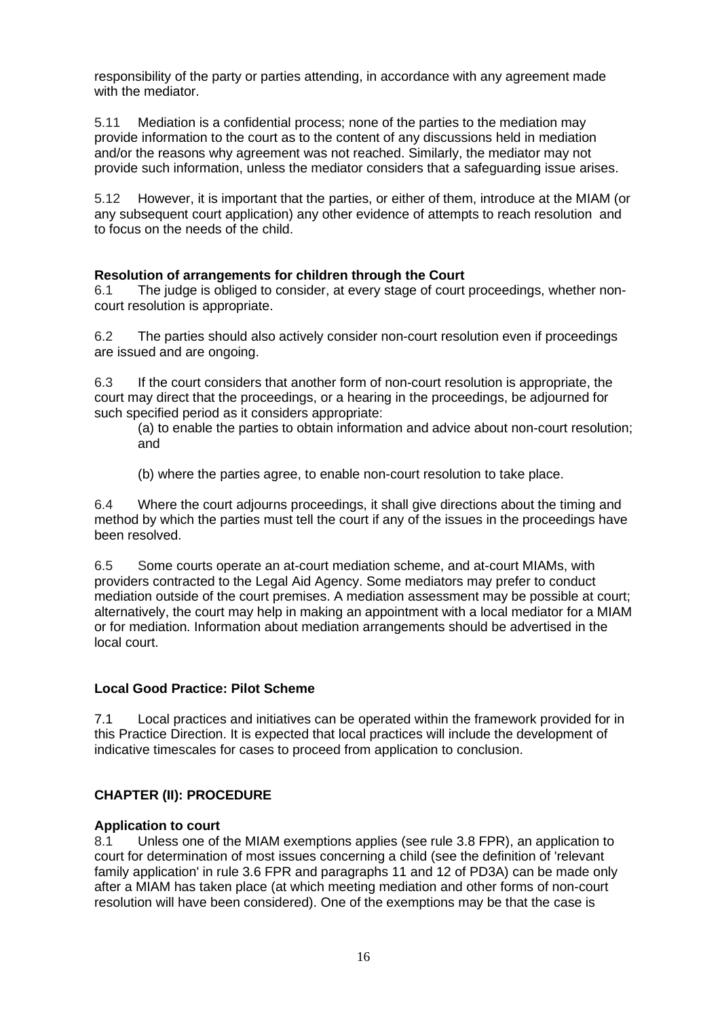responsibility of the party or parties attending, in accordance with any agreement made with the mediator.

5.11 Mediation is a confidential process; none of the parties to the mediation may provide information to the court as to the content of any discussions held in mediation and/or the reasons why agreement was not reached. Similarly, the mediator may not provide such information, unless the mediator considers that a safeguarding issue arises.

5.12 However, it is important that the parties, or either of them, introduce at the MIAM (or any subsequent court application) any other evidence of attempts to reach resolution and to focus on the needs of the child.

### **Resolution of arrangements for children through the Court**

6.1 The judge is obliged to consider, at every stage of court proceedings, whether noncourt resolution is appropriate.

6.2 The parties should also actively consider non-court resolution even if proceedings are issued and are ongoing.

6.3 If the court considers that another form of non-court resolution is appropriate, the court may direct that the proceedings, or a hearing in the proceedings, be adjourned for such specified period as it considers appropriate:

- (a) to enable the parties to obtain information and advice about non-court resolution; and
- (b) where the parties agree, to enable non-court resolution to take place.

6.4 Where the court adjourns proceedings, it shall give directions about the timing and method by which the parties must tell the court if any of the issues in the proceedings have been resolved.

6.5 Some courts operate an at-court mediation scheme, and at-court MIAMs, with providers contracted to the Legal Aid Agency. Some mediators may prefer to conduct mediation outside of the court premises. A mediation assessment may be possible at court; alternatively, the court may help in making an appointment with a local mediator for a MIAM or for mediation. Information about mediation arrangements should be advertised in the local court.

# **Local Good Practice: Pilot Scheme**

7.1 Local practices and initiatives can be operated within the framework provided for in this Practice Direction. It is expected that local practices will include the development of indicative timescales for cases to proceed from application to conclusion.

# **CHAPTER (II): PROCEDURE**

# **Application to court**

8.1 Unless one of the MIAM exemptions applies (see rule 3.8 FPR), an application to court for determination of most issues concerning a child (see the definition of 'relevant family application' in rule 3.6 FPR and paragraphs 11 and 12 of PD3A) can be made only after a MIAM has taken place (at which meeting mediation and other forms of non-court resolution will have been considered). One of the exemptions may be that the case is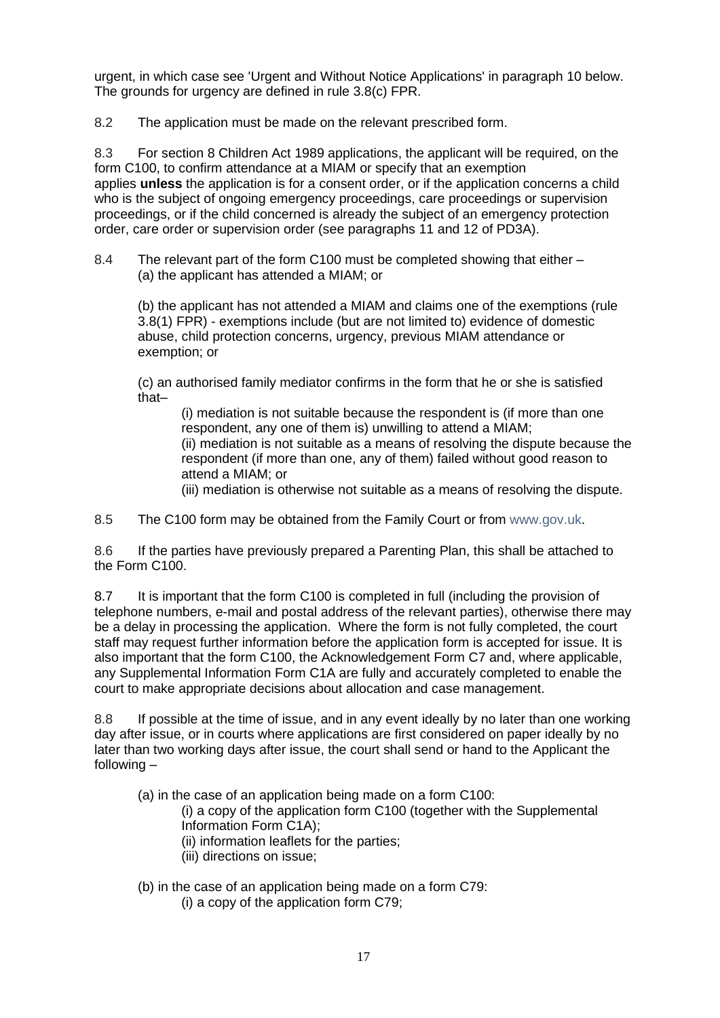urgent, in which case see 'Urgent and Without Notice Applications' in paragraph 10 below. The grounds for urgency are defined in rule 3.8(c) FPR.

8.2 The application must be made on the relevant prescribed form.

8.3 For section 8 Children Act 1989 applications, the applicant will be required, on the form C100, to confirm attendance at a MIAM or specify that an exemption applies **unless** the application is for a consent order, or if the application concerns a child who is the subject of ongoing emergency proceedings, care proceedings or supervision proceedings, or if the child concerned is already the subject of an emergency protection order, care order or supervision order (see paragraphs 11 and 12 of PD3A).

8.4 The relevant part of the form C100 must be completed showing that either – (a) the applicant has attended a MIAM; or

(b) the applicant has not attended a MIAM and claims one of the exemptions (rule 3.8(1) FPR) - exemptions include (but are not limited to) evidence of domestic abuse, child protection concerns, urgency, previous MIAM attendance or exemption; or

(c) an authorised family mediator confirms in the form that he or she is satisfied that–

(i) mediation is not suitable because the respondent is (if more than one respondent, any one of them is) unwilling to attend a MIAM; (ii) mediation is not suitable as a means of resolving the dispute because the respondent (if more than one, any of them) failed without good reason to attend a MIAM; or

(iii) mediation is otherwise not suitable as a means of resolving the dispute.

8.5 The C100 form may be obtained from the Family Court or from [www.gov.uk.](http://www.gov.uk/)

8.6 If the parties have previously prepared a Parenting Plan, this shall be attached to the Form C100.

8.7 It is important that the form C100 is completed in full (including the provision of telephone numbers, e-mail and postal address of the relevant parties), otherwise there may be a delay in processing the application. Where the form is not fully completed, the court staff may request further information before the application form is accepted for issue. It is also important that the form C100, the Acknowledgement Form C7 and, where applicable, any Supplemental Information Form C1A are fully and accurately completed to enable the court to make appropriate decisions about allocation and case management.

8.8 If possible at the time of issue, and in any event ideally by no later than one working day after issue, or in courts where applications are first considered on paper ideally by no later than two working days after issue, the court shall send or hand to the Applicant the following –

(a) in the case of an application being made on a form C100:

- (i) a copy of the application form C100 (together with the Supplemental Information Form C1A);
- (ii) information leaflets for the parties;
- (iii) directions on issue;

(b) in the case of an application being made on a form C79:

(i) a copy of the application form C79;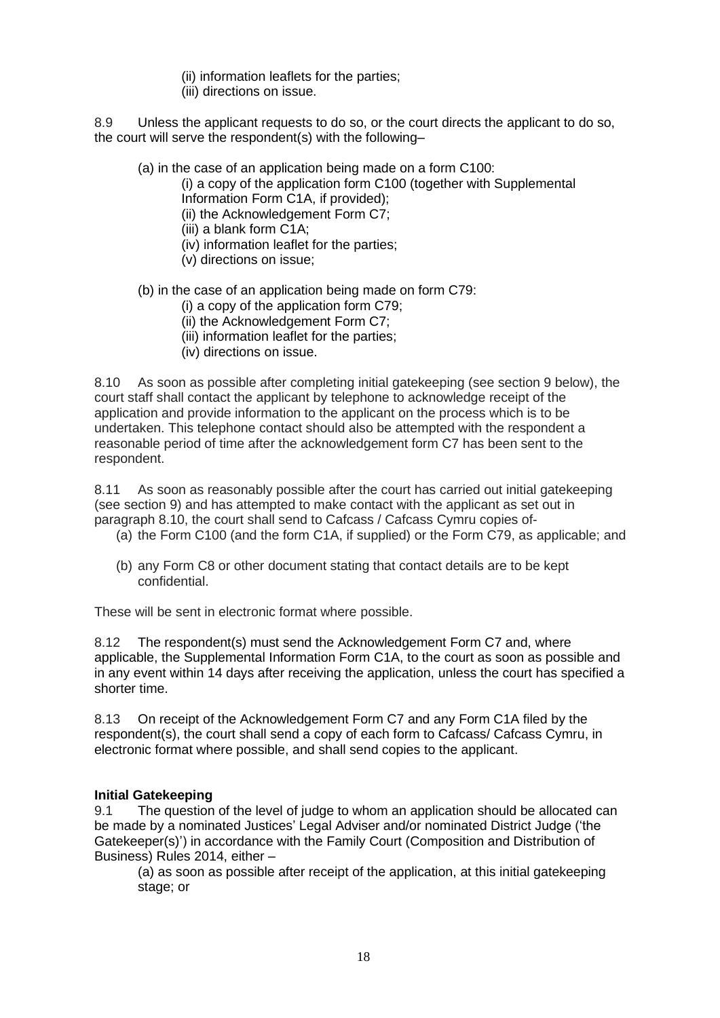- (ii) information leaflets for the parties;
- (iii) directions on issue.

8.9 Unless the applicant requests to do so, or the court directs the applicant to do so, the court will serve the respondent(s) with the following–

- (a) in the case of an application being made on a form C100:
	- (i) a copy of the application form C100 (together with Supplemental Information Form C1A, if provided);
		- (ii) the Acknowledgement Form C7;
		- (iii) a blank form C1A;
		- (iv) information leaflet for the parties;
		- (v) directions on issue;
- (b) in the case of an application being made on form C79:
	- (i) a copy of the application form C79;
	- (ii) the Acknowledgement Form C7;
	- (iii) information leaflet for the parties;
	- (iv) directions on issue.

8.10 As soon as possible after completing initial gatekeeping (see section 9 below), the court staff shall contact the applicant by telephone to acknowledge receipt of the application and provide information to the applicant on the process which is to be undertaken. This telephone contact should also be attempted with the respondent a reasonable period of time after the acknowledgement form C7 has been sent to the respondent.

8.11 As soon as reasonably possible after the court has carried out initial gatekeeping (see section 9) and has attempted to make contact with the applicant as set out in paragraph 8.10, the court shall send to Cafcass / Cafcass Cymru copies of-

- (a) the Form C100 (and the form C1A, if supplied) or the Form C79, as applicable; and
- (b) any Form C8 or other document stating that contact details are to be kept confidential.

These will be sent in electronic format where possible.

8.12 The respondent(s) must send the Acknowledgement Form C7 and, where applicable, the Supplemental Information Form C1A, to the court as soon as possible and in any event within 14 days after receiving the application, unless the court has specified a shorter time.

8.13 On receipt of the Acknowledgement Form C7 and any Form C1A filed by the respondent(s), the court shall send a copy of each form to Cafcass/ Cafcass Cymru, in electronic format where possible, and shall send copies to the applicant.

### **Initial Gatekeeping**

9.1 The question of the level of judge to whom an application should be allocated can be made by a nominated Justices' Legal Adviser and/or nominated District Judge ('the Gatekeeper(s)') in accordance with the Family Court (Composition and Distribution of Business) Rules 2014, either –

(a) as soon as possible after receipt of the application, at this initial gatekeeping stage; or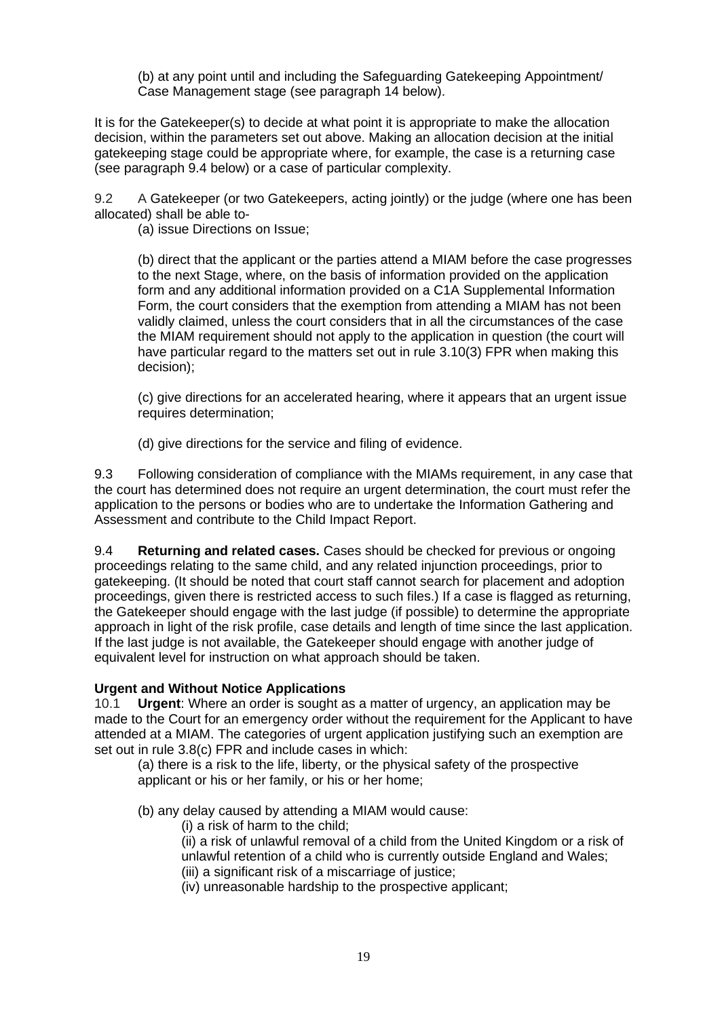(b) at any point until and including the Safeguarding Gatekeeping Appointment/ Case Management stage (see paragraph 14 below).

It is for the Gatekeeper(s) to decide at what point it is appropriate to make the allocation decision, within the parameters set out above. Making an allocation decision at the initial gatekeeping stage could be appropriate where, for example, the case is a returning case (see paragraph 9.4 below) or a case of particular complexity.

9.2 A Gatekeeper (or two Gatekeepers, acting jointly) or the judge (where one has been allocated) shall be able to-

(a) issue Directions on Issue;

(b) direct that the applicant or the parties attend a MIAM before the case progresses to the next Stage, where, on the basis of information provided on the application form and any additional information provided on a C1A Supplemental Information Form, the court considers that the exemption from attending a MIAM has not been validly claimed, unless the court considers that in all the circumstances of the case the MIAM requirement should not apply to the application in question (the court will have particular regard to the matters set out in rule 3.10(3) FPR when making this decision);

(c) give directions for an accelerated hearing, where it appears that an urgent issue requires determination;

(d) give directions for the service and filing of evidence.

9.3 Following consideration of compliance with the MIAMs requirement, in any case that the court has determined does not require an urgent determination, the court must refer the application to the persons or bodies who are to undertake the Information Gathering and Assessment and contribute to the Child Impact Report.

9.4 **Returning and related cases.** Cases should be checked for previous or ongoing proceedings relating to the same child, and any related injunction proceedings, prior to gatekeeping. (It should be noted that court staff cannot search for placement and adoption proceedings, given there is restricted access to such files.) If a case is flagged as returning, the Gatekeeper should engage with the last judge (if possible) to determine the appropriate approach in light of the risk profile, case details and length of time since the last application. If the last judge is not available, the Gatekeeper should engage with another judge of equivalent level for instruction on what approach should be taken.

### **Urgent and Without Notice Applications**

10.1 **Urgent**: Where an order is sought as a matter of urgency, an application may be made to the Court for an emergency order without the requirement for the Applicant to have attended at a MIAM. The categories of urgent application justifying such an exemption are set out in rule 3.8(c) FPR and include cases in which:

(a) there is a risk to the life, liberty, or the physical safety of the prospective applicant or his or her family, or his or her home;

- (b) any delay caused by attending a MIAM would cause:
	- (i) a risk of harm to the child;

(ii) a risk of unlawful removal of a child from the United Kingdom or a risk of unlawful retention of a child who is currently outside England and Wales; (iii) a significant risk of a miscarriage of justice;

(iv) unreasonable hardship to the prospective applicant;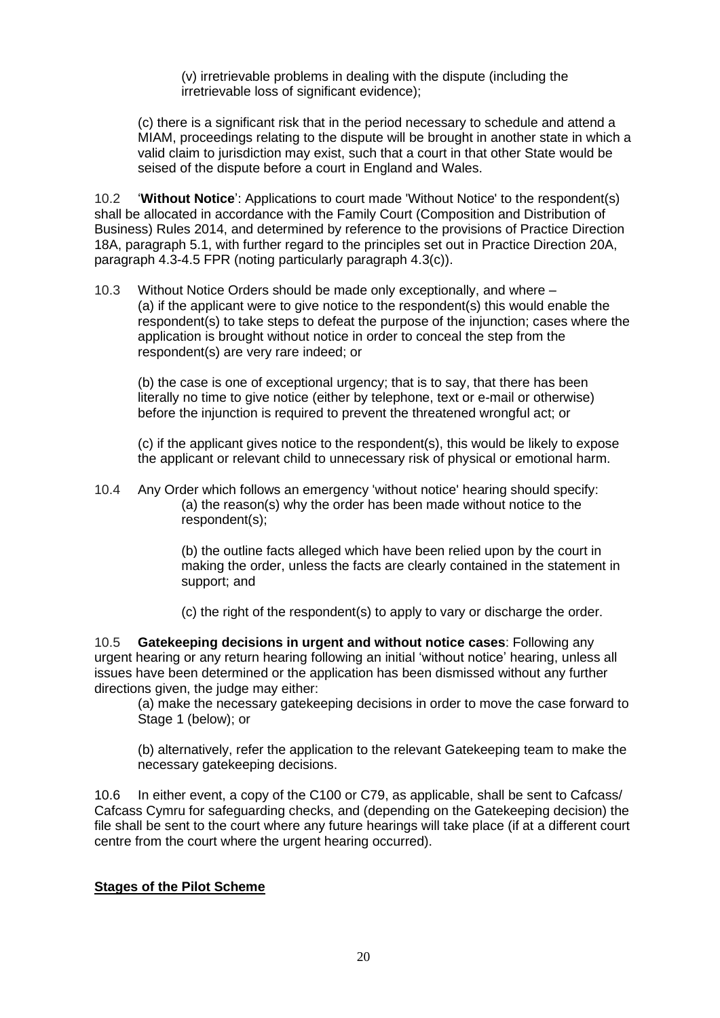(v) irretrievable problems in dealing with the dispute (including the irretrievable loss of significant evidence);

(c) there is a significant risk that in the period necessary to schedule and attend a MIAM, proceedings relating to the dispute will be brought in another state in which a valid claim to jurisdiction may exist, such that a court in that other State would be seised of the dispute before a court in England and Wales.

10.2 '**Without Notice**': Applications to court made 'Without Notice' to the respondent(s) shall be allocated in accordance with the Family Court (Composition and Distribution of Business) Rules 2014, and determined by reference to the provisions of Practice Direction 18A, paragraph 5.1, with further regard to the principles set out in Practice Direction 20A, paragraph 4.3-4.5 FPR (noting particularly paragraph 4.3(c)).

10.3 Without Notice Orders should be made only exceptionally, and where – (a) if the applicant were to give notice to the respondent(s) this would enable the respondent(s) to take steps to defeat the purpose of the injunction; cases where the application is brought without notice in order to conceal the step from the respondent(s) are very rare indeed; or

(b) the case is one of exceptional urgency; that is to say, that there has been literally no time to give notice (either by telephone, text or e-mail or otherwise) before the injunction is required to prevent the threatened wrongful act; or

(c) if the applicant gives notice to the respondent(s), this would be likely to expose the applicant or relevant child to unnecessary risk of physical or emotional harm.

10.4 Any Order which follows an emergency 'without notice' hearing should specify: (a) the reason(s) why the order has been made without notice to the respondent(s);

> (b) the outline facts alleged which have been relied upon by the court in making the order, unless the facts are clearly contained in the statement in support; and

(c) the right of the respondent(s) to apply to vary or discharge the order.

10.5 **Gatekeeping decisions in urgent and without notice cases**: Following any urgent hearing or any return hearing following an initial 'without notice' hearing, unless all issues have been determined or the application has been dismissed without any further directions given, the judge may either:

(a) make the necessary gatekeeping decisions in order to move the case forward to Stage 1 (below); or

(b) alternatively, refer the application to the relevant Gatekeeping team to make the necessary gatekeeping decisions.

10.6 In either event, a copy of the C100 or C79, as applicable, shall be sent to Cafcass/ Cafcass Cymru for safeguarding checks, and (depending on the Gatekeeping decision) the file shall be sent to the court where any future hearings will take place (if at a different court centre from the court where the urgent hearing occurred).

# **Stages of the Pilot Scheme**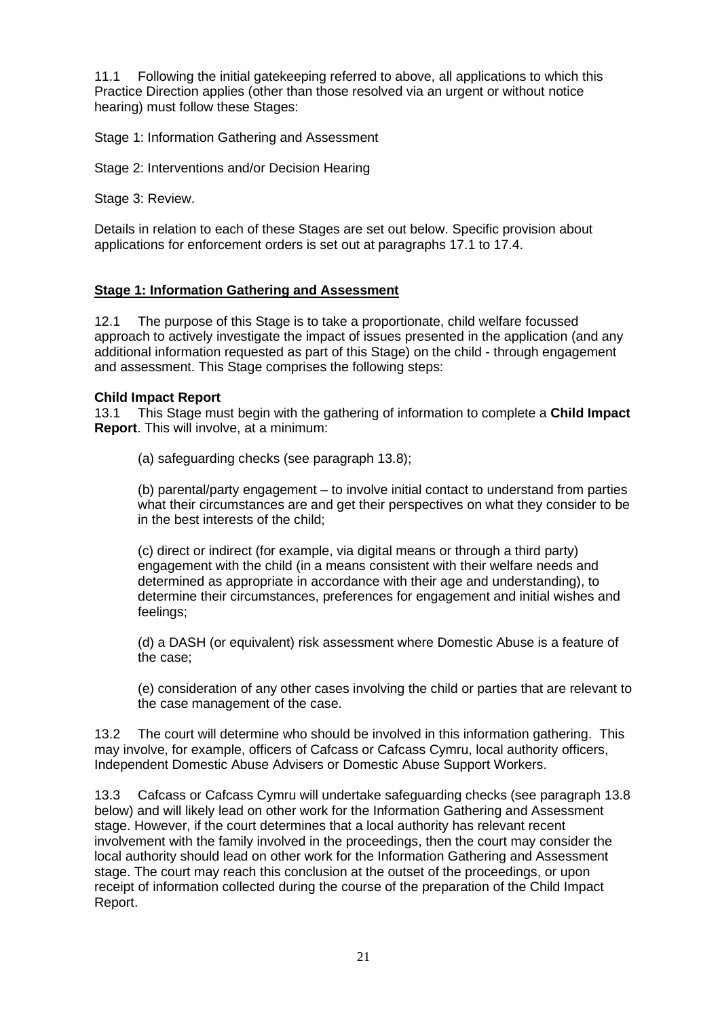11.1 Following the initial gatekeeping referred to above, all applications to which this Practice Direction applies (other than those resolved via an urgent or without notice hearing) must follow these Stages:

Stage 1: Information Gathering and Assessment

Stage 2: Interventions and/or Decision Hearing

Stage 3: Review.

Details in relation to each of these Stages are set out below. Specific provision about applications for enforcement orders is set out at paragraphs 17.1 to 17.4.

# **Stage 1: Information Gathering and Assessment**

12.1 The purpose of this Stage is to take a proportionate, child welfare focussed approach to actively investigate the impact of issues presented in the application (and any additional information requested as part of this Stage) on the child - through engagement and assessment. This Stage comprises the following steps:

### **Child Impact Report**

13.1 This Stage must begin with the gathering of information to complete a **Child Impact Report**. This will involve, at a minimum:

(a) safeguarding checks (see paragraph 13.8);

(b) parental/party engagement – to involve initial contact to understand from parties what their circumstances are and get their perspectives on what they consider to be in the best interests of the child;

(c) direct or indirect (for example, via digital means or through a third party) engagement with the child (in a means consistent with their welfare needs and determined as appropriate in accordance with their age and understanding), to determine their circumstances, preferences for engagement and initial wishes and feelings;

(d) a DASH (or equivalent) risk assessment where Domestic Abuse is a feature of the case;

(e) consideration of any other cases involving the child or parties that are relevant to the case management of the case.

13.2 The court will determine who should be involved in this information gathering. This may involve, for example, officers of Cafcass or Cafcass Cymru, local authority officers, Independent Domestic Abuse Advisers or Domestic Abuse Support Workers.

13.3 Cafcass or Cafcass Cymru will undertake safeguarding checks (see paragraph 13.8 below) and will likely lead on other work for the Information Gathering and Assessment stage. However, if the court determines that a local authority has relevant recent involvement with the family involved in the proceedings, then the court may consider the local authority should lead on other work for the Information Gathering and Assessment stage. The court may reach this conclusion at the outset of the proceedings, or upon receipt of information collected during the course of the preparation of the Child Impact Report.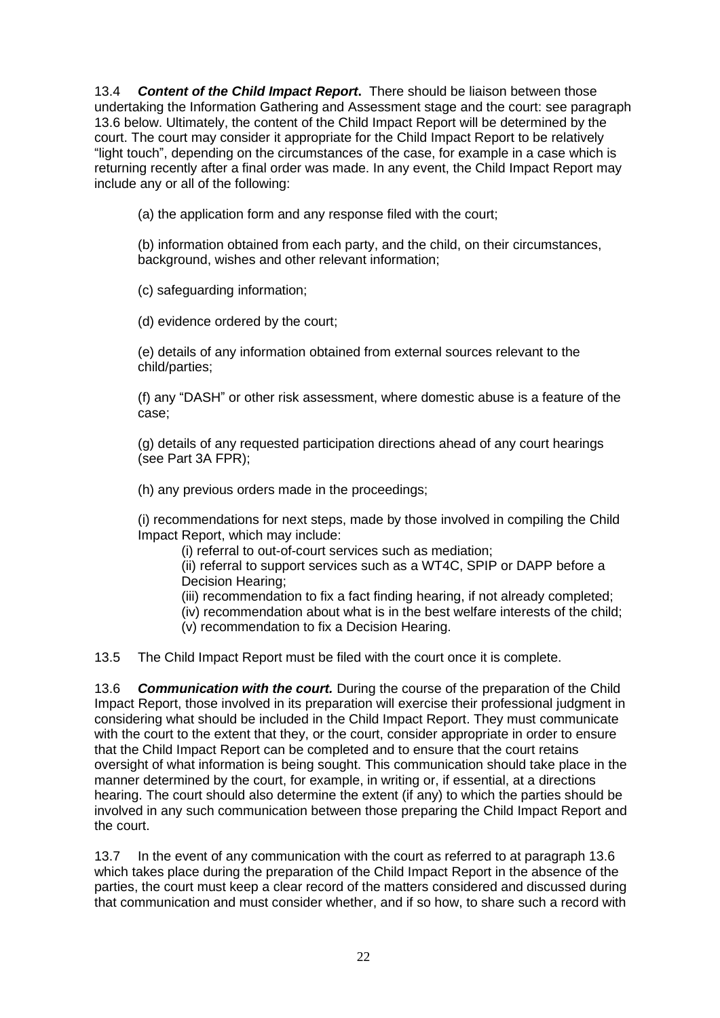13.4 *Content of the Child Impact Report***.** There should be liaison between those undertaking the Information Gathering and Assessment stage and the court: see paragraph 13.6 below. Ultimately, the content of the Child Impact Report will be determined by the court. The court may consider it appropriate for the Child Impact Report to be relatively "light touch", depending on the circumstances of the case, for example in a case which is returning recently after a final order was made. In any event, the Child Impact Report may include any or all of the following:

(a) the application form and any response filed with the court;

(b) information obtained from each party, and the child, on their circumstances, background, wishes and other relevant information;

(c) safeguarding information;

(d) evidence ordered by the court;

(e) details of any information obtained from external sources relevant to the child/parties;

(f) any "DASH" or other risk assessment, where domestic abuse is a feature of the case;

(g) details of any requested participation directions ahead of any court hearings (see Part 3A FPR);

(h) any previous orders made in the proceedings;

(i) recommendations for next steps, made by those involved in compiling the Child Impact Report, which may include:

(i) referral to out-of-court services such as mediation;

(ii) referral to support services such as a WT4C, SPIP or DAPP before a Decision Hearing;

(iii) recommendation to fix a fact finding hearing, if not already completed;

(iv) recommendation about what is in the best welfare interests of the child;

(v) recommendation to fix a Decision Hearing.

13.5 The Child Impact Report must be filed with the court once it is complete.

13.6 *Communication with the court.* During the course of the preparation of the Child Impact Report, those involved in its preparation will exercise their professional judgment in considering what should be included in the Child Impact Report. They must communicate with the court to the extent that they, or the court, consider appropriate in order to ensure that the Child Impact Report can be completed and to ensure that the court retains oversight of what information is being sought. This communication should take place in the manner determined by the court, for example, in writing or, if essential, at a directions hearing. The court should also determine the extent (if any) to which the parties should be involved in any such communication between those preparing the Child Impact Report and the court.

13.7 In the event of any communication with the court as referred to at paragraph 13.6 which takes place during the preparation of the Child Impact Report in the absence of the parties, the court must keep a clear record of the matters considered and discussed during that communication and must consider whether, and if so how, to share such a record with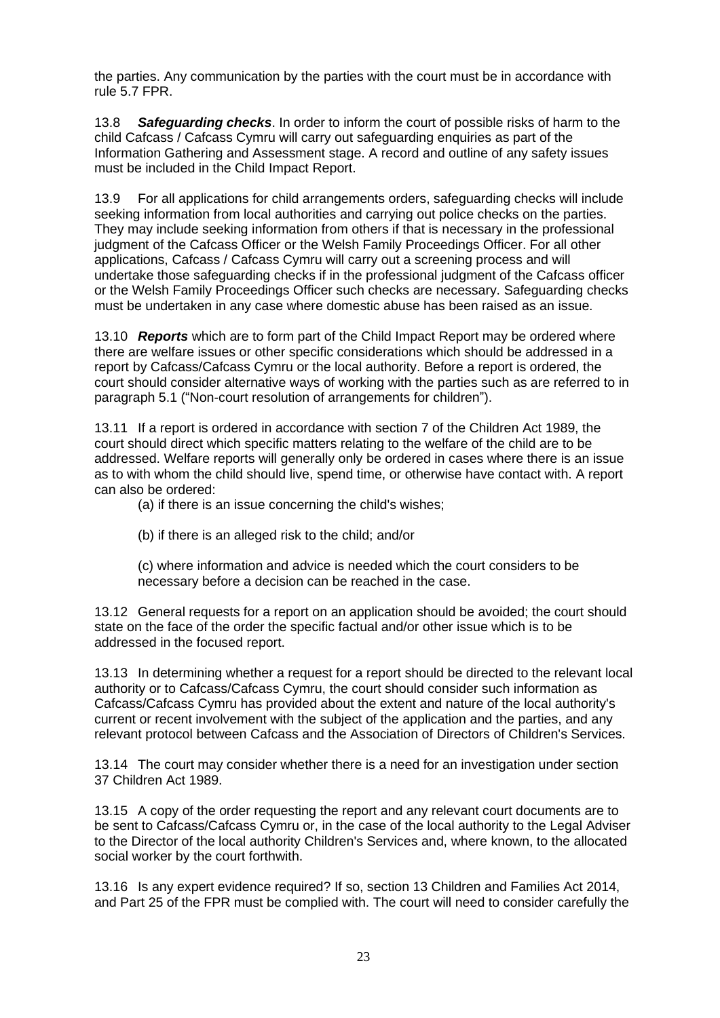the parties. Any communication by the parties with the court must be in accordance with rule 5.7 FPR.

13.8 *Safeguarding checks*. In order to inform the court of possible risks of harm to the child Cafcass / Cafcass Cymru will carry out safeguarding enquiries as part of the Information Gathering and Assessment stage. A record and outline of any safety issues must be included in the Child Impact Report.

13.9 For all applications for child arrangements orders, safeguarding checks will include seeking information from local authorities and carrying out police checks on the parties. They may include seeking information from others if that is necessary in the professional judgment of the Cafcass Officer or the Welsh Family Proceedings Officer. For all other applications, Cafcass / Cafcass Cymru will carry out a screening process and will undertake those safeguarding checks if in the professional judgment of the Cafcass officer or the Welsh Family Proceedings Officer such checks are necessary. Safeguarding checks must be undertaken in any case where domestic abuse has been raised as an issue.

13.10 *Reports* which are to form part of the Child Impact Report may be ordered where there are welfare issues or other specific considerations which should be addressed in a report by Cafcass/Cafcass Cymru or the local authority. Before a report is ordered, the court should consider alternative ways of working with the parties such as are referred to in paragraph 5.1 ("Non-court resolution of arrangements for children").

13.11 If a report is ordered in accordance with section 7 of the Children Act 1989, the court should direct which specific matters relating to the welfare of the child are to be addressed. Welfare reports will generally only be ordered in cases where there is an issue as to with whom the child should live, spend time, or otherwise have contact with. A report can also be ordered:

(a) if there is an issue concerning the child's wishes;

(b) if there is an alleged risk to the child; and/or

(c) where information and advice is needed which the court considers to be necessary before a decision can be reached in the case.

13.12 General requests for a report on an application should be avoided; the court should state on the face of the order the specific factual and/or other issue which is to be addressed in the focused report.

13.13 In determining whether a request for a report should be directed to the relevant local authority or to Cafcass/Cafcass Cymru, the court should consider such information as Cafcass/Cafcass Cymru has provided about the extent and nature of the local authority's current or recent involvement with the subject of the application and the parties, and any relevant protocol between Cafcass and the Association of Directors of Children's Services.

13.14 The court may consider whether there is a need for an investigation under section 37 Children Act 1989.

13.15 A copy of the order requesting the report and any relevant court documents are to be sent to Cafcass/Cafcass Cymru or, in the case of the local authority to the Legal Adviser to the Director of the local authority Children's Services and, where known, to the allocated social worker by the court forthwith.

13.16 Is any expert evidence required? If so, section 13 Children and Families Act 2014, and Part 25 of the FPR must be complied with. The court will need to consider carefully the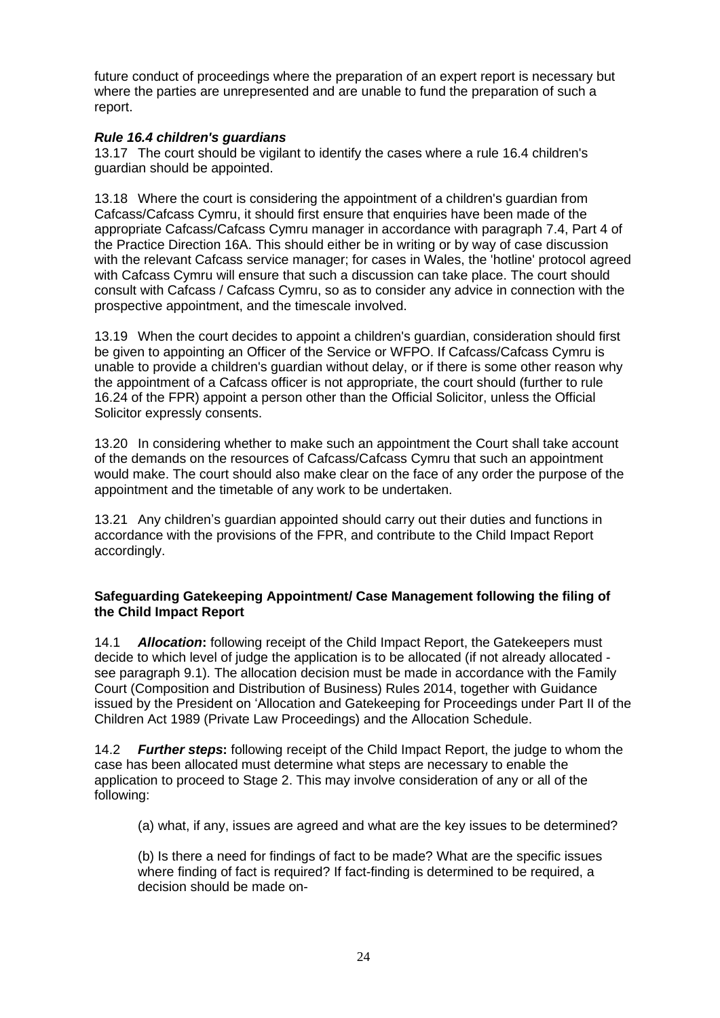future conduct of proceedings where the preparation of an expert report is necessary but where the parties are unrepresented and are unable to fund the preparation of such a report.

### *Rule 16.4 children's guardians*

13.17 The court should be vigilant to identify the cases where a rule 16.4 children's guardian should be appointed.

13.18 Where the court is considering the appointment of a children's guardian from Cafcass/Cafcass Cymru, it should first ensure that enquiries have been made of the appropriate Cafcass/Cafcass Cymru manager in accordance with paragraph 7.4, Part 4 of the Practice Direction 16A. This should either be in writing or by way of case discussion with the relevant Cafcass service manager; for cases in Wales, the 'hotline' protocol agreed with Cafcass Cymru will ensure that such a discussion can take place. The court should consult with Cafcass / Cafcass Cymru, so as to consider any advice in connection with the prospective appointment, and the timescale involved.

13.19 When the court decides to appoint a children's guardian, consideration should first be given to appointing an Officer of the Service or WFPO. If Cafcass/Cafcass Cymru is unable to provide a children's guardian without delay, or if there is some other reason why the appointment of a Cafcass officer is not appropriate, the court should (further to rule 16.24 of the FPR) appoint a person other than the Official Solicitor, unless the Official Solicitor expressly consents.

13.20 In considering whether to make such an appointment the Court shall take account of the demands on the resources of Cafcass/Cafcass Cymru that such an appointment would make. The court should also make clear on the face of any order the purpose of the appointment and the timetable of any work to be undertaken.

13.21 Any children's guardian appointed should carry out their duties and functions in accordance with the provisions of the FPR, and contribute to the Child Impact Report accordingly.

### **Safeguarding Gatekeeping Appointment/ Case Management following the filing of the Child Impact Report**

14.1 *Allocation***:** following receipt of the Child Impact Report, the Gatekeepers must decide to which level of judge the application is to be allocated (if not already allocated see paragraph 9.1). The allocation decision must be made in accordance with the Family Court (Composition and Distribution of Business) Rules 2014, together with Guidance issued by the President on 'Allocation and Gatekeeping for Proceedings under Part II of the Children Act 1989 (Private Law Proceedings) and the Allocation Schedule.

14.2 *Further steps***:** following receipt of the Child Impact Report, the judge to whom the case has been allocated must determine what steps are necessary to enable the application to proceed to Stage 2. This may involve consideration of any or all of the following:

(a) what, if any, issues are agreed and what are the key issues to be determined?

(b) Is there a need for findings of fact to be made? What are the specific issues where finding of fact is required? If fact-finding is determined to be required, a decision should be made on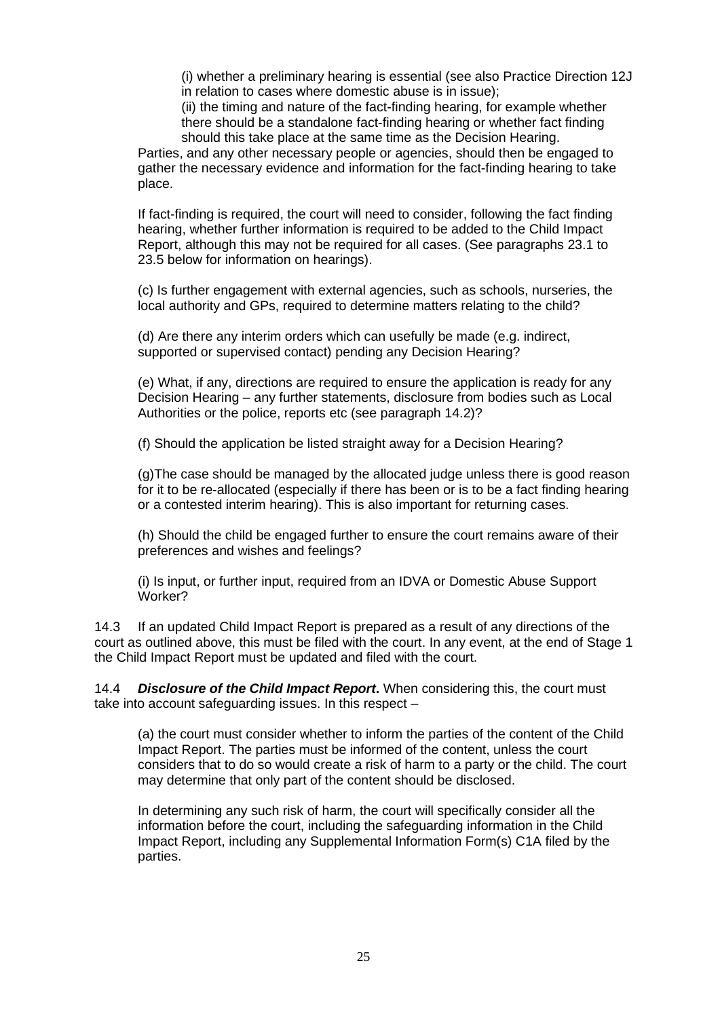(i) whether a preliminary hearing is essential (see also Practice Direction 12J in relation to cases where domestic abuse is in issue);

(ii) the timing and nature of the fact-finding hearing, for example whether there should be a standalone fact-finding hearing or whether fact finding should this take place at the same time as the Decision Hearing.

Parties, and any other necessary people or agencies, should then be engaged to gather the necessary evidence and information for the fact-finding hearing to take place.

If fact-finding is required, the court will need to consider, following the fact finding hearing, whether further information is required to be added to the Child Impact Report, although this may not be required for all cases. (See paragraphs 23.1 to 23.5 below for information on hearings).

(c) Is further engagement with external agencies, such as schools, nurseries, the local authority and GPs, required to determine matters relating to the child?

(d) Are there any interim orders which can usefully be made (e.g. indirect, supported or supervised contact) pending any Decision Hearing?

(e) What, if any, directions are required to ensure the application is ready for any Decision Hearing – any further statements, disclosure from bodies such as Local Authorities or the police, reports etc (see paragraph 14.2)?

(f) Should the application be listed straight away for a Decision Hearing?

(g)The case should be managed by the allocated judge unless there is good reason for it to be re-allocated (especially if there has been or is to be a fact finding hearing or a contested interim hearing). This is also important for returning cases.

(h) Should the child be engaged further to ensure the court remains aware of their preferences and wishes and feelings?

(i) Is input, or further input, required from an IDVA or Domestic Abuse Support Worker?

14.3 If an updated Child Impact Report is prepared as a result of any directions of the court as outlined above, this must be filed with the court. In any event, at the end of Stage 1 the Child Impact Report must be updated and filed with the court.

14.4 *Disclosure of the Child Impact Report***.** When considering this, the court must take into account safeguarding issues. In this respect –

(a) the court must consider whether to inform the parties of the content of the Child Impact Report. The parties must be informed of the content, unless the court considers that to do so would create a risk of harm to a party or the child. The court may determine that only part of the content should be disclosed.

In determining any such risk of harm, the court will specifically consider all the information before the court, including the safeguarding information in the Child Impact Report, including any Supplemental Information Form(s) C1A filed by the parties.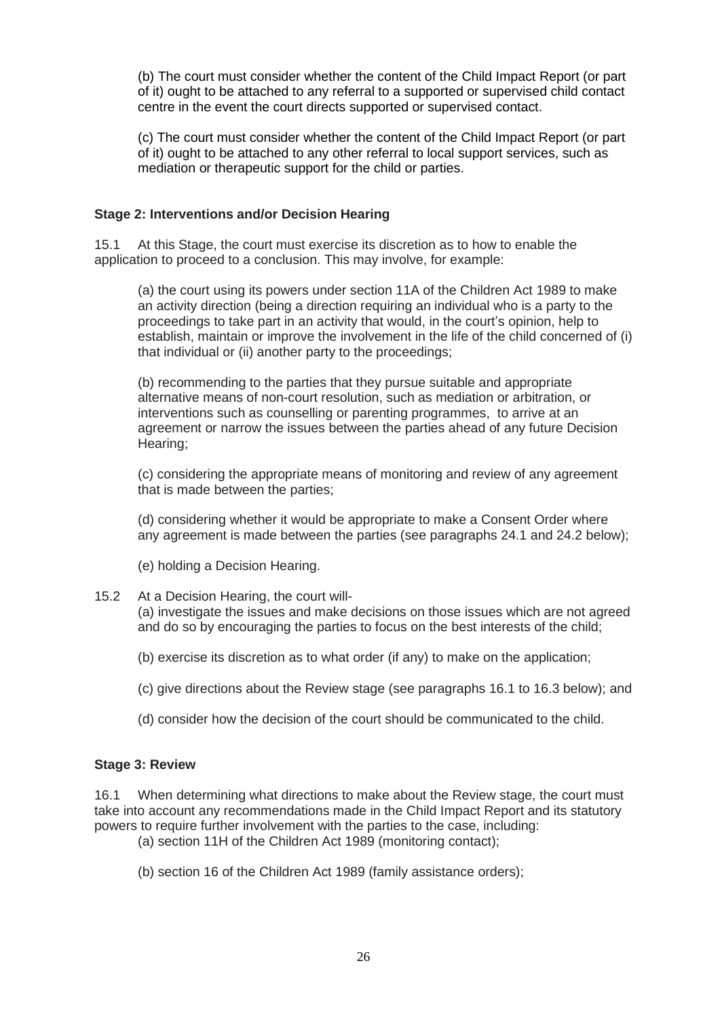(b) The court must consider whether the content of the Child Impact Report (or part of it) ought to be attached to any referral to a supported or supervised child contact centre in the event the court directs supported or supervised contact.

(c) The court must consider whether the content of the Child Impact Report (or part of it) ought to be attached to any other referral to local support services, such as mediation or therapeutic support for the child or parties.

### **Stage 2: Interventions and/or Decision Hearing**

15.1 At this Stage, the court must exercise its discretion as to how to enable the application to proceed to a conclusion. This may involve, for example:

(a) the court using its powers under section 11A of the Children Act 1989 to make an activity direction (being a direction requiring an individual who is a party to the proceedings to take part in an activity that would, in the court's opinion, help to establish, maintain or improve the involvement in the life of the child concerned of (i) that individual or (ii) another party to the proceedings;

(b) recommending to the parties that they pursue suitable and appropriate alternative means of non-court resolution, such as mediation or arbitration, or interventions such as counselling or parenting programmes, to arrive at an agreement or narrow the issues between the parties ahead of any future Decision Hearing;

(c) considering the appropriate means of monitoring and review of any agreement that is made between the parties;

(d) considering whether it would be appropriate to make a Consent Order where any agreement is made between the parties (see paragraphs 24.1 and 24.2 below);

(e) holding a Decision Hearing.

15.2 At a Decision Hearing, the court will-

(a) investigate the issues and make decisions on those issues which are not agreed and do so by encouraging the parties to focus on the best interests of the child;

- (b) exercise its discretion as to what order (if any) to make on the application;
- (c) give directions about the Review stage (see paragraphs 16.1 to 16.3 below); and
- (d) consider how the decision of the court should be communicated to the child.

### **Stage 3: Review**

16.1 When determining what directions to make about the Review stage, the court must take into account any recommendations made in the Child Impact Report and its statutory powers to require further involvement with the parties to the case, including:

- (a) section 11H of the Children Act 1989 (monitoring contact);
- (b) section 16 of the Children Act 1989 (family assistance orders);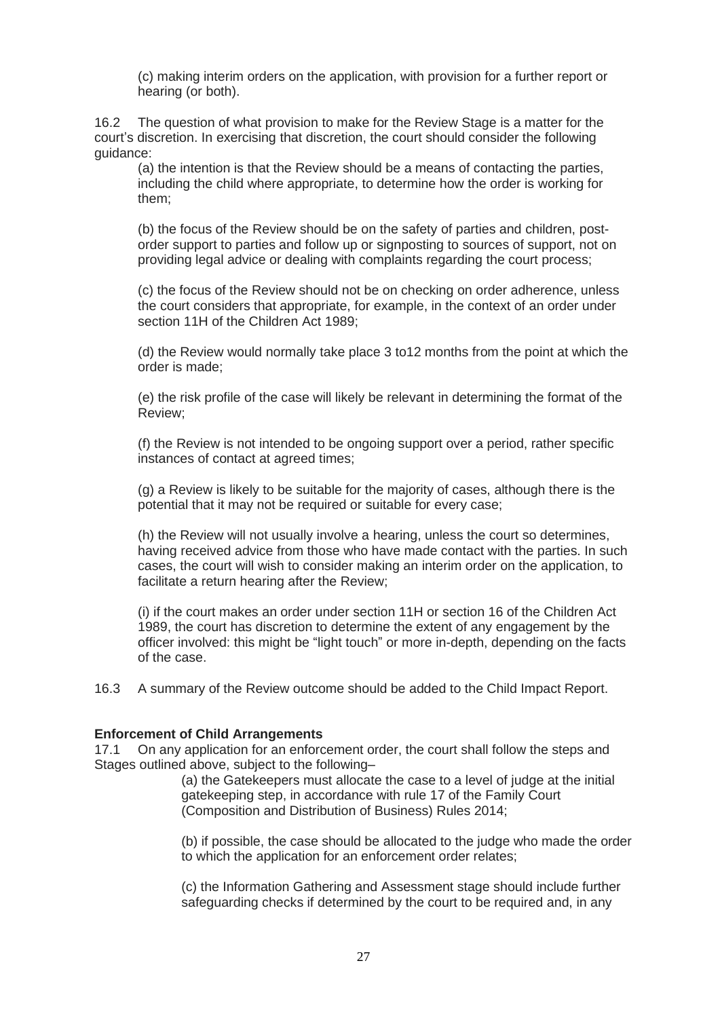(c) making interim orders on the application, with provision for a further report or hearing (or both).

16.2 The question of what provision to make for the Review Stage is a matter for the court's discretion. In exercising that discretion, the court should consider the following guidance:

(a) the intention is that the Review should be a means of contacting the parties, including the child where appropriate, to determine how the order is working for them;

(b) the focus of the Review should be on the safety of parties and children, postorder support to parties and follow up or signposting to sources of support, not on providing legal advice or dealing with complaints regarding the court process;

(c) the focus of the Review should not be on checking on order adherence, unless the court considers that appropriate, for example, in the context of an order under section 11H of the Children Act 1989;

(d) the Review would normally take place 3 to12 months from the point at which the order is made;

(e) the risk profile of the case will likely be relevant in determining the format of the Review;

(f) the Review is not intended to be ongoing support over a period, rather specific instances of contact at agreed times;

(g) a Review is likely to be suitable for the majority of cases, although there is the potential that it may not be required or suitable for every case;

(h) the Review will not usually involve a hearing, unless the court so determines, having received advice from those who have made contact with the parties. In such cases, the court will wish to consider making an interim order on the application, to facilitate a return hearing after the Review;

(i) if the court makes an order under section 11H or section 16 of the Children Act 1989, the court has discretion to determine the extent of any engagement by the officer involved: this might be "light touch" or more in-depth, depending on the facts of the case.

16.3 A summary of the Review outcome should be added to the Child Impact Report.

#### **Enforcement of Child Arrangements**

17.1 On any application for an enforcement order, the court shall follow the steps and Stages outlined above, subject to the following–

(a) the Gatekeepers must allocate the case to a level of judge at the initial gatekeeping step, in accordance with rule 17 of the Family Court (Composition and Distribution of Business) Rules 2014;

(b) if possible, the case should be allocated to the judge who made the order to which the application for an enforcement order relates;

(c) the Information Gathering and Assessment stage should include further safeguarding checks if determined by the court to be required and, in any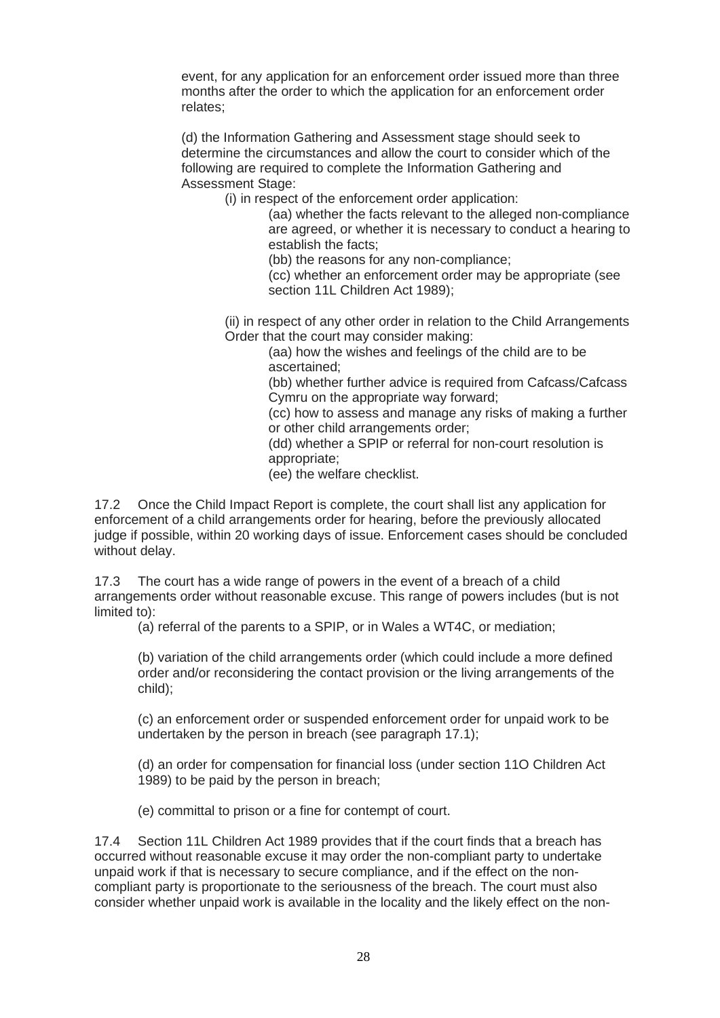event, for any application for an enforcement order issued more than three months after the order to which the application for an enforcement order relates;

(d) the Information Gathering and Assessment stage should seek to determine the circumstances and allow the court to consider which of the following are required to complete the Information Gathering and Assessment Stage:

(i) in respect of the enforcement order application:

(aa) whether the facts relevant to the alleged non-compliance are agreed, or whether it is necessary to conduct a hearing to establish the facts;

(bb) the reasons for any non-compliance;

(cc) whether an enforcement order may be appropriate (see section 11L Children Act 1989);

(ii) in respect of any other order in relation to the Child Arrangements Order that the court may consider making:

(aa) how the wishes and feelings of the child are to be ascertained;

(bb) whether further advice is required from Cafcass/Cafcass Cymru on the appropriate way forward;

(cc) how to assess and manage any risks of making a further or other child arrangements order;

(dd) whether a SPIP or referral for non-court resolution is appropriate;

(ee) the welfare checklist.

17.2 Once the Child Impact Report is complete, the court shall list any application for enforcement of a child arrangements order for hearing, before the previously allocated judge if possible, within 20 working days of issue. Enforcement cases should be concluded without delay.

17.3 The court has a wide range of powers in the event of a breach of a child arrangements order without reasonable excuse. This range of powers includes (but is not limited to):

(a) referral of the parents to a SPIP, or in Wales a WT4C, or mediation;

(b) variation of the child arrangements order (which could include a more defined order and/or reconsidering the contact provision or the living arrangements of the child);

(c) an enforcement order or suspended enforcement order for unpaid work to be undertaken by the person in breach (see paragraph 17.1);

(d) an order for compensation for financial loss (under section 11O Children Act 1989) to be paid by the person in breach;

(e) committal to prison or a fine for contempt of court.

17.4 Section 11L Children Act 1989 provides that if the court finds that a breach has occurred without reasonable excuse it may order the non-compliant party to undertake unpaid work if that is necessary to secure compliance, and if the effect on the noncompliant party is proportionate to the seriousness of the breach. The court must also consider whether unpaid work is available in the locality and the likely effect on the non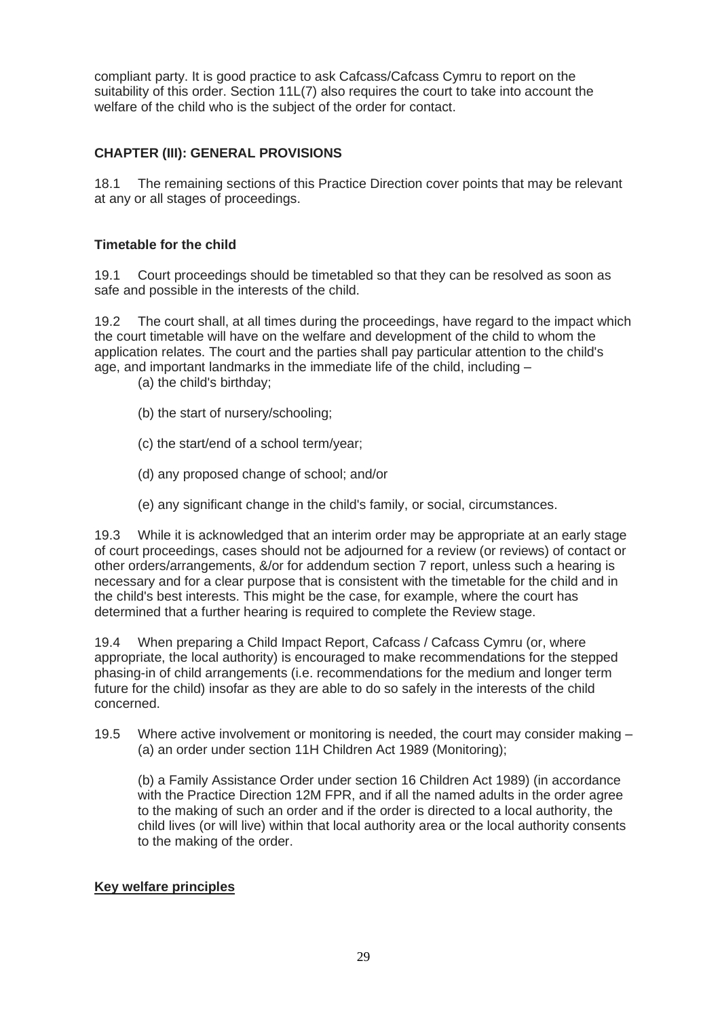compliant party. It is good practice to ask Cafcass/Cafcass Cymru to report on the suitability of this order. Section 11L(7) also requires the court to take into account the welfare of the child who is the subject of the order for contact.

# **CHAPTER (III): GENERAL PROVISIONS**

18.1 The remaining sections of this Practice Direction cover points that may be relevant at any or all stages of proceedings.

### **Timetable for the child**

19.1 Court proceedings should be timetabled so that they can be resolved as soon as safe and possible in the interests of the child.

19.2 The court shall, at all times during the proceedings, have regard to the impact which the court timetable will have on the welfare and development of the child to whom the application relates. The court and the parties shall pay particular attention to the child's age, and important landmarks in the immediate life of the child, including –

- (a) the child's birthday;
- (b) the start of nursery/schooling;
- (c) the start/end of a school term/year;
- (d) any proposed change of school; and/or
- (e) any significant change in the child's family, or social, circumstances.

19.3 While it is acknowledged that an interim order may be appropriate at an early stage of court proceedings, cases should not be adjourned for a review (or reviews) of contact or other orders/arrangements, &/or for addendum section 7 report, unless such a hearing is necessary and for a clear purpose that is consistent with the timetable for the child and in the child's best interests. This might be the case, for example, where the court has determined that a further hearing is required to complete the Review stage.

19.4 When preparing a Child Impact Report, Cafcass / Cafcass Cymru (or, where appropriate, the local authority) is encouraged to make recommendations for the stepped phasing-in of child arrangements (i.e. recommendations for the medium and longer term future for the child) insofar as they are able to do so safely in the interests of the child concerned.

19.5 Where active involvement or monitoring is needed, the court may consider making – (a) an order under section 11H Children Act 1989 (Monitoring);

(b) a Family Assistance Order under section 16 Children Act 1989) (in accordance with the Practice Direction 12M FPR, and if all the named adults in the order agree to the making of such an order and if the order is directed to a local authority, the child lives (or will live) within that local authority area or the local authority consents to the making of the order.

### **Key welfare principles**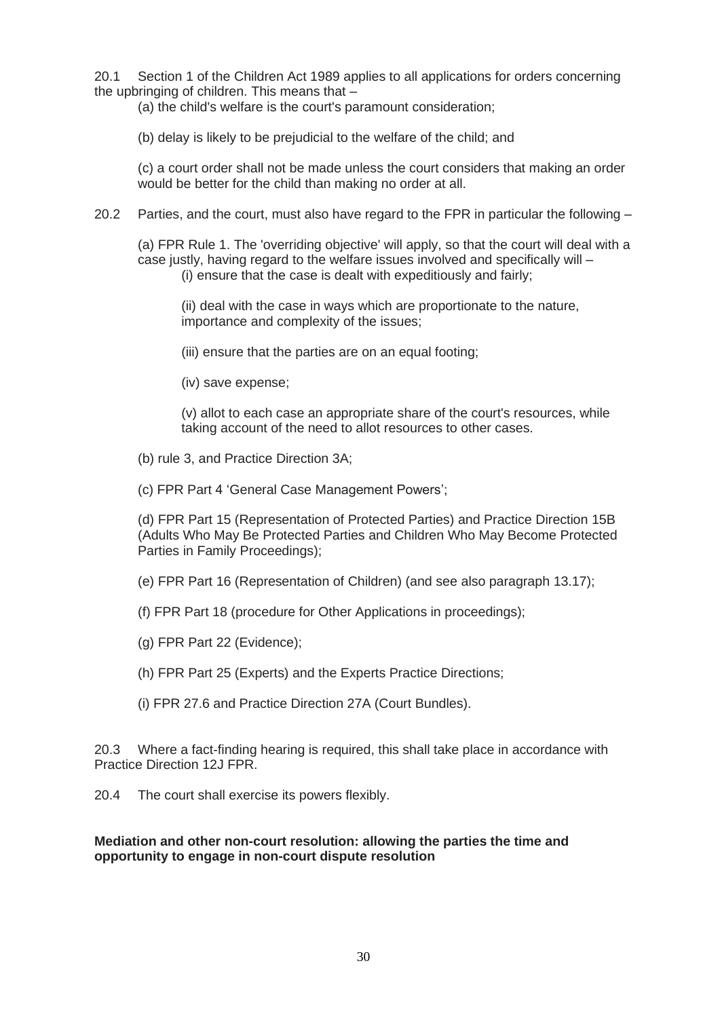20.1 Section 1 of the Children Act 1989 applies to all applications for orders concerning the upbringing of children. This means that –

(a) the child's welfare is the court's paramount consideration;

(b) delay is likely to be prejudicial to the welfare of the child; and

(c) a court order shall not be made unless the court considers that making an order would be better for the child than making no order at all.

20.2 Parties, and the court, must also have regard to the FPR in particular the following –

(a) FPR Rule 1. The 'overriding objective' will apply, so that the court will deal with a case justly, having regard to the welfare issues involved and specifically will – (i) ensure that the case is dealt with expeditiously and fairly;

(ii) deal with the case in ways which are proportionate to the nature, importance and complexity of the issues;

(iii) ensure that the parties are on an equal footing;

(iv) save expense;

(v) allot to each case an appropriate share of the court's resources, while taking account of the need to allot resources to other cases.

(b) rule 3, and Practice Direction 3A;

(c) FPR Part 4 'General Case Management Powers';

(d) FPR Part 15 (Representation of Protected Parties) and Practice Direction 15B (Adults Who May Be Protected Parties and Children Who May Become Protected Parties in Family Proceedings);

(e) FPR Part 16 (Representation of Children) (and see also paragraph 13.17);

- (f) FPR Part 18 (procedure for Other Applications in proceedings);
- (g) FPR Part 22 (Evidence);
- (h) FPR Part 25 (Experts) and the Experts Practice Directions;
- (i) FPR 27.6 and Practice Direction 27A (Court Bundles).

20.3 Where a fact-finding hearing is required, this shall take place in accordance with Practice Direction 12J FPR.

20.4 The court shall exercise its powers flexibly.

### **Mediation and other non-court resolution: allowing the parties the time and opportunity to engage in non-court dispute resolution**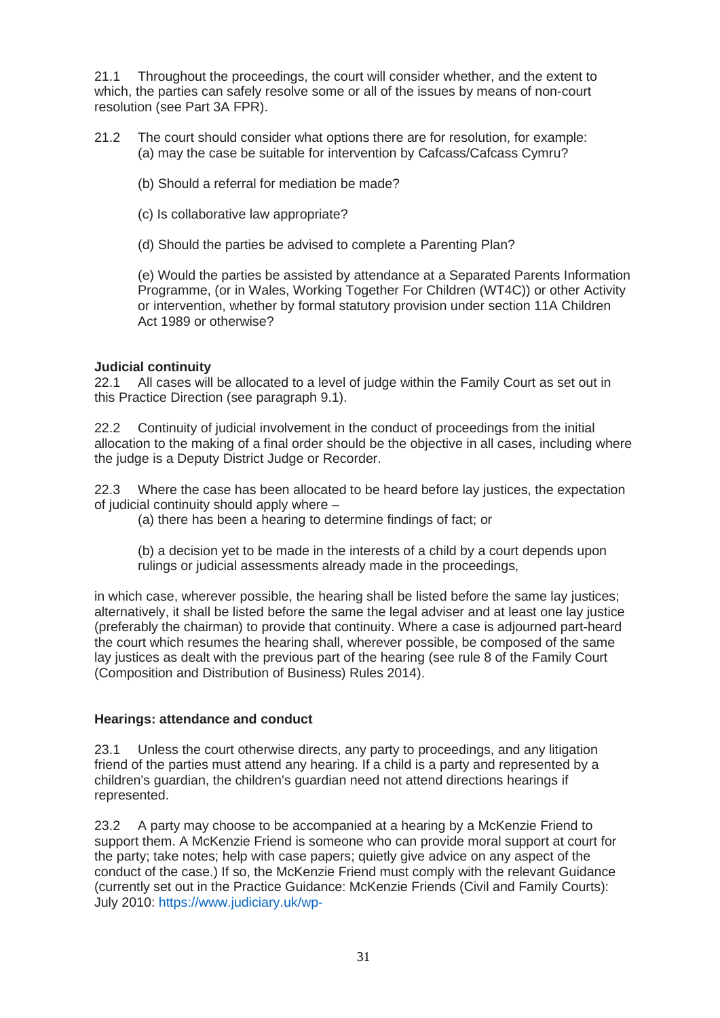21.1 Throughout the proceedings, the court will consider whether, and the extent to which, the parties can safely resolve some or all of the issues by means of non-court resolution (see Part 3A FPR).

- 21.2 The court should consider what options there are for resolution, for example: (a) may the case be suitable for intervention by Cafcass/Cafcass Cymru?
	- (b) Should a referral for mediation be made?
	- (c) Is collaborative law appropriate?
	- (d) Should the parties be advised to complete a Parenting Plan?

(e) Would the parties be assisted by attendance at a Separated Parents Information Programme, (or in Wales, Working Together For Children (WT4C)) or other Activity or intervention, whether by formal statutory provision under section 11A Children Act 1989 or otherwise?

### **Judicial continuity**

22.1 All cases will be allocated to a level of judge within the Family Court as set out in this Practice Direction (see paragraph 9.1).

22.2 Continuity of judicial involvement in the conduct of proceedings from the initial allocation to the making of a final order should be the objective in all cases, including where the judge is a Deputy District Judge or Recorder.

22.3 Where the case has been allocated to be heard before lay justices, the expectation of judicial continuity should apply where –

(a) there has been a hearing to determine findings of fact; or

(b) a decision yet to be made in the interests of a child by a court depends upon rulings or judicial assessments already made in the proceedings,

in which case, wherever possible, the hearing shall be listed before the same lay justices; alternatively, it shall be listed before the same the legal adviser and at least one lay justice (preferably the chairman) to provide that continuity. Where a case is adjourned part-heard the court which resumes the hearing shall, wherever possible, be composed of the same lay justices as dealt with the previous part of the hearing (see rule 8 of the Family Court (Composition and Distribution of Business) Rules 2014).

### **Hearings: attendance and conduct**

23.1 Unless the court otherwise directs, any party to proceedings, and any litigation friend of the parties must attend any hearing. If a child is a party and represented by a children's guardian, the children's guardian need not attend directions hearings if represented.

23.2 A party may choose to be accompanied at a hearing by a McKenzie Friend to support them. A McKenzie Friend is someone who can provide moral support at court for the party; take notes; help with case papers; quietly give advice on any aspect of the conduct of the case.) If so, the McKenzie Friend must comply with the relevant Guidance (currently set out in the Practice Guidance: McKenzie Friends (Civil and Family Courts): July 2010: [https://www.judiciary.uk/wp-](https://www.judiciary.uk/wp-content/uploads/JCO/Documents/Guidance/mckenzie-friends-practice-guidance-july-2010.pdf)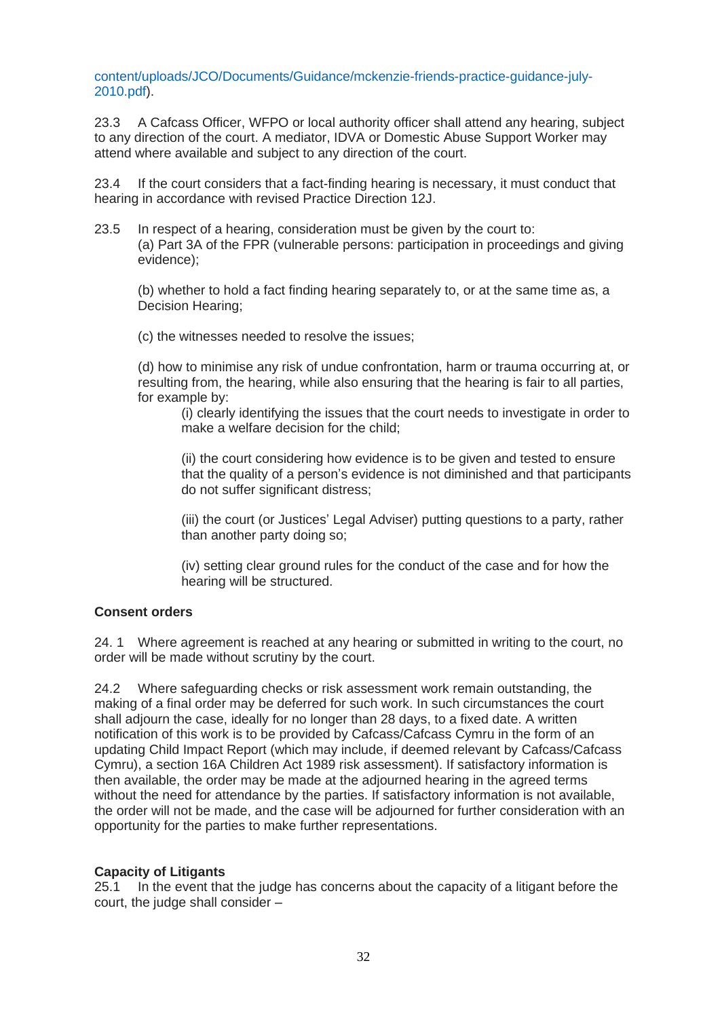[content/uploads/JCO/Documents/Guidance/mckenzie-friends-practice-guidance-july-](https://www.judiciary.uk/wp-content/uploads/JCO/Documents/Guidance/mckenzie-friends-practice-guidance-july-2010.pdf)[2010.pdf\)](https://www.judiciary.uk/wp-content/uploads/JCO/Documents/Guidance/mckenzie-friends-practice-guidance-july-2010.pdf).

23.3 A Cafcass Officer, WFPO or local authority officer shall attend any hearing, subject to any direction of the court. A mediator, IDVA or Domestic Abuse Support Worker may attend where available and subject to any direction of the court.

23.4 If the court considers that a fact-finding hearing is necessary, it must conduct that hearing in accordance with revised Practice Direction 12J.

23.5 In respect of a hearing, consideration must be given by the court to: (a) Part 3A of the FPR (vulnerable persons: participation in proceedings and giving evidence);

(b) whether to hold a fact finding hearing separately to, or at the same time as, a Decision Hearing;

(c) the witnesses needed to resolve the issues;

(d) how to minimise any risk of undue confrontation, harm or trauma occurring at, or resulting from, the hearing, while also ensuring that the hearing is fair to all parties, for example by:

(i) clearly identifying the issues that the court needs to investigate in order to make a welfare decision for the child;

(ii) the court considering how evidence is to be given and tested to ensure that the quality of a person's evidence is not diminished and that participants do not suffer significant distress;

(iii) the court (or Justices' Legal Adviser) putting questions to a party, rather than another party doing so;

(iv) setting clear ground rules for the conduct of the case and for how the hearing will be structured.

### **Consent orders**

24. 1 Where agreement is reached at any hearing or submitted in writing to the court, no order will be made without scrutiny by the court.

24.2 Where safeguarding checks or risk assessment work remain outstanding, the making of a final order may be deferred for such work. In such circumstances the court shall adjourn the case, ideally for no longer than 28 days, to a fixed date. A written notification of this work is to be provided by Cafcass/Cafcass Cymru in the form of an updating Child Impact Report (which may include, if deemed relevant by Cafcass/Cafcass Cymru), a section 16A Children Act 1989 risk assessment). If satisfactory information is then available, the order may be made at the adjourned hearing in the agreed terms without the need for attendance by the parties. If satisfactory information is not available, the order will not be made, and the case will be adjourned for further consideration with an opportunity for the parties to make further representations.

### **Capacity of Litigants**

25.1 In the event that the judge has concerns about the capacity of a litigant before the court, the judge shall consider –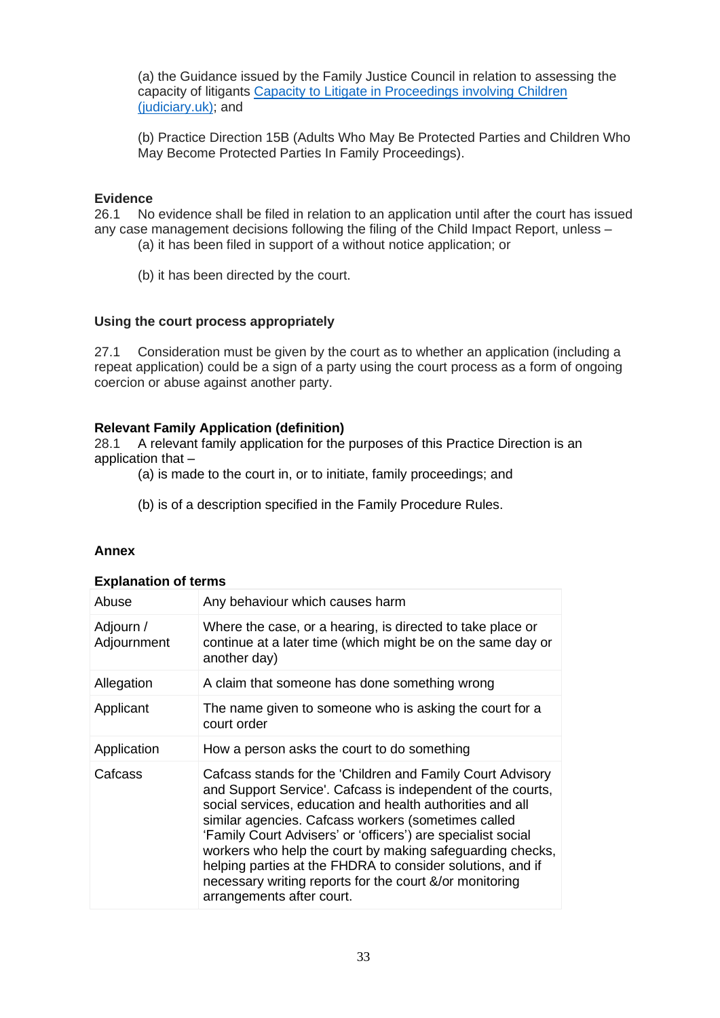(a) the Guidance issued by the Family Justice Council in relation to assessing the capacity of litigants [Capacity to Litigate in Proceedings involving Children](https://www.judiciary.uk/wp-content/uploads/2018/04/capacity-to-litigate-in-proceedings-involving-children-april-2018.pdf)  [\(judiciary.uk\);](https://www.judiciary.uk/wp-content/uploads/2018/04/capacity-to-litigate-in-proceedings-involving-children-april-2018.pdf) and

(b) Practice Direction 15B (Adults Who May Be Protected Parties and Children Who May Become Protected Parties In Family Proceedings).

### **Evidence**

26.1 No evidence shall be filed in relation to an application until after the court has issued any case management decisions following the filing of the Child Impact Report, unless –

- (a) it has been filed in support of a without notice application; or
- (b) it has been directed by the court.

#### **Using the court process appropriately**

27.1 Consideration must be given by the court as to whether an application (including a repeat application) could be a sign of a party using the court process as a form of ongoing coercion or abuse against another party.

#### **Relevant Family Application (definition)**

28.1 A relevant family application for the purposes of this Practice Direction is an application that –

- (a) is made to the court in, or to initiate, family proceedings; and
- (b) is of a description specified in the Family Procedure Rules.

#### **Annex**

#### **Explanation of terms**

| Abuse                    | Any behaviour which causes harm                                                                                                                                                                                                                                                                                                                                                                                                                                                                                                  |
|--------------------------|----------------------------------------------------------------------------------------------------------------------------------------------------------------------------------------------------------------------------------------------------------------------------------------------------------------------------------------------------------------------------------------------------------------------------------------------------------------------------------------------------------------------------------|
| Adjourn /<br>Adjournment | Where the case, or a hearing, is directed to take place or<br>continue at a later time (which might be on the same day or<br>another day)                                                                                                                                                                                                                                                                                                                                                                                        |
| Allegation               | A claim that someone has done something wrong                                                                                                                                                                                                                                                                                                                                                                                                                                                                                    |
| Applicant                | The name given to someone who is asking the court for a<br>court order                                                                                                                                                                                                                                                                                                                                                                                                                                                           |
| Application              | How a person asks the court to do something                                                                                                                                                                                                                                                                                                                                                                                                                                                                                      |
| Cafcass                  | Cafcass stands for the 'Children and Family Court Advisory<br>and Support Service'. Cafcass is independent of the courts,<br>social services, education and health authorities and all<br>similar agencies. Cafcass workers (sometimes called<br>'Family Court Advisers' or 'officers') are specialist social<br>workers who help the court by making safeguarding checks,<br>helping parties at the FHDRA to consider solutions, and if<br>necessary writing reports for the court &/or monitoring<br>arrangements after court. |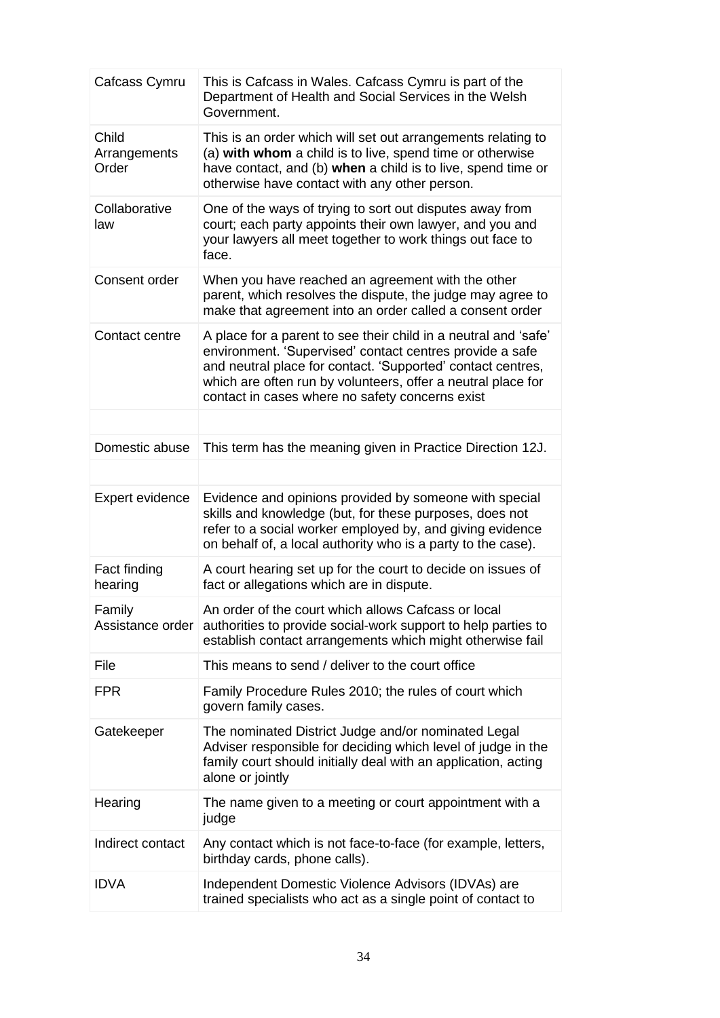| Cafcass Cymru                  | This is Cafcass in Wales. Cafcass Cymru is part of the<br>Department of Health and Social Services in the Welsh<br>Government.                                                                                                                                                                                |
|--------------------------------|---------------------------------------------------------------------------------------------------------------------------------------------------------------------------------------------------------------------------------------------------------------------------------------------------------------|
| Child<br>Arrangements<br>Order | This is an order which will set out arrangements relating to<br>(a) with whom a child is to live, spend time or otherwise<br>have contact, and (b) when a child is to live, spend time or<br>otherwise have contact with any other person.                                                                    |
| Collaborative<br>law           | One of the ways of trying to sort out disputes away from<br>court; each party appoints their own lawyer, and you and<br>your lawyers all meet together to work things out face to<br>face.                                                                                                                    |
| Consent order                  | When you have reached an agreement with the other<br>parent, which resolves the dispute, the judge may agree to<br>make that agreement into an order called a consent order                                                                                                                                   |
| Contact centre                 | A place for a parent to see their child in a neutral and 'safe'<br>environment. 'Supervised' contact centres provide a safe<br>and neutral place for contact. 'Supported' contact centres,<br>which are often run by volunteers, offer a neutral place for<br>contact in cases where no safety concerns exist |
|                                |                                                                                                                                                                                                                                                                                                               |
| Domestic abuse                 | This term has the meaning given in Practice Direction 12J.                                                                                                                                                                                                                                                    |
|                                |                                                                                                                                                                                                                                                                                                               |
| Expert evidence                | Evidence and opinions provided by someone with special<br>skills and knowledge (but, for these purposes, does not<br>refer to a social worker employed by, and giving evidence<br>on behalf of, a local authority who is a party to the case).                                                                |
| Fact finding<br>hearing        | A court hearing set up for the court to decide on issues of<br>fact or allegations which are in dispute.                                                                                                                                                                                                      |
| Family<br>Assistance order     | An order of the court which allows Cafcass or local<br>authorities to provide social-work support to help parties to<br>establish contact arrangements which might otherwise fail                                                                                                                             |
| File                           | This means to send / deliver to the court office                                                                                                                                                                                                                                                              |
| <b>FPR</b>                     | Family Procedure Rules 2010; the rules of court which<br>govern family cases.                                                                                                                                                                                                                                 |
| Gatekeeper                     | The nominated District Judge and/or nominated Legal<br>Adviser responsible for deciding which level of judge in the<br>family court should initially deal with an application, acting<br>alone or jointly                                                                                                     |
| Hearing                        | The name given to a meeting or court appointment with a<br>judge                                                                                                                                                                                                                                              |
| Indirect contact               | Any contact which is not face-to-face (for example, letters,<br>birthday cards, phone calls).                                                                                                                                                                                                                 |
| <b>IDVA</b>                    | Independent Domestic Violence Advisors (IDVAs) are<br>trained specialists who act as a single point of contact to                                                                                                                                                                                             |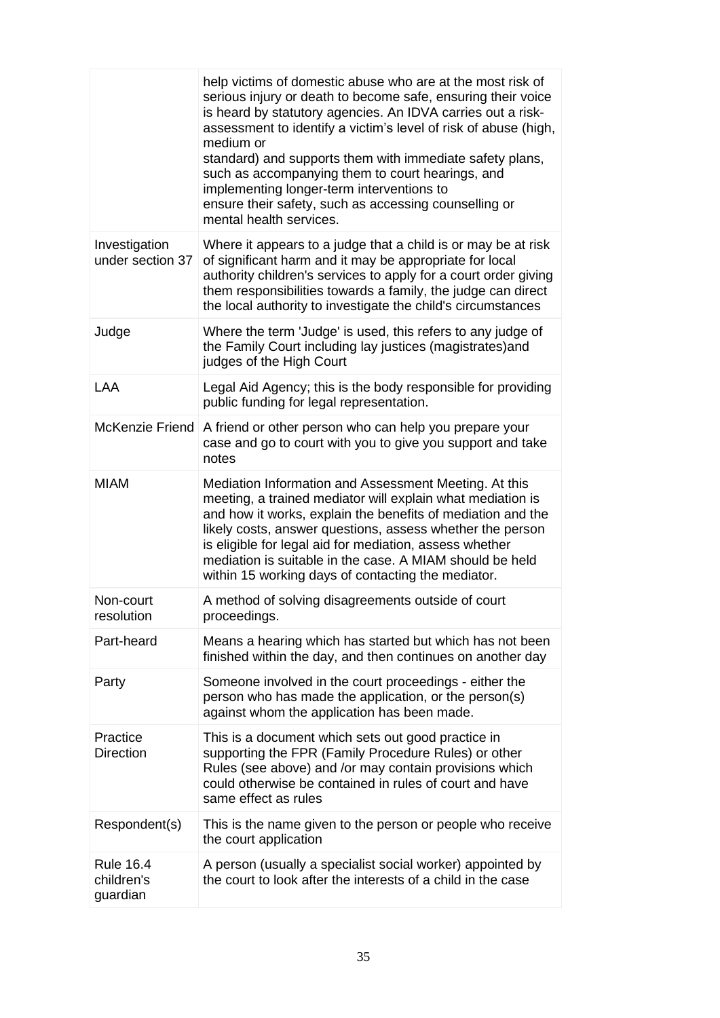|                                            | help victims of domestic abuse who are at the most risk of<br>serious injury or death to become safe, ensuring their voice<br>is heard by statutory agencies. An IDVA carries out a risk-<br>assessment to identify a victim's level of risk of abuse (high,<br>medium or<br>standard) and supports them with immediate safety plans,<br>such as accompanying them to court hearings, and<br>implementing longer-term interventions to<br>ensure their safety, such as accessing counselling or<br>mental health services. |
|--------------------------------------------|----------------------------------------------------------------------------------------------------------------------------------------------------------------------------------------------------------------------------------------------------------------------------------------------------------------------------------------------------------------------------------------------------------------------------------------------------------------------------------------------------------------------------|
| Investigation<br>under section 37          | Where it appears to a judge that a child is or may be at risk<br>of significant harm and it may be appropriate for local<br>authority children's services to apply for a court order giving<br>them responsibilities towards a family, the judge can direct<br>the local authority to investigate the child's circumstances                                                                                                                                                                                                |
| Judge                                      | Where the term 'Judge' is used, this refers to any judge of<br>the Family Court including lay justices (magistrates) and<br>judges of the High Court                                                                                                                                                                                                                                                                                                                                                                       |
| <b>LAA</b>                                 | Legal Aid Agency; this is the body responsible for providing<br>public funding for legal representation.                                                                                                                                                                                                                                                                                                                                                                                                                   |
| McKenzie Friend                            | A friend or other person who can help you prepare your<br>case and go to court with you to give you support and take<br>notes                                                                                                                                                                                                                                                                                                                                                                                              |
| <b>MIAM</b>                                | Mediation Information and Assessment Meeting. At this<br>meeting, a trained mediator will explain what mediation is<br>and how it works, explain the benefits of mediation and the<br>likely costs, answer questions, assess whether the person<br>is eligible for legal aid for mediation, assess whether<br>mediation is suitable in the case. A MIAM should be held<br>within 15 working days of contacting the mediator.                                                                                               |
| Non-court<br>resolution                    | A method of solving disagreements outside of court<br>proceedings.                                                                                                                                                                                                                                                                                                                                                                                                                                                         |
| Part-heard                                 | Means a hearing which has started but which has not been<br>finished within the day, and then continues on another day                                                                                                                                                                                                                                                                                                                                                                                                     |
| Party                                      | Someone involved in the court proceedings - either the<br>person who has made the application, or the person(s)<br>against whom the application has been made.                                                                                                                                                                                                                                                                                                                                                             |
| Practice<br><b>Direction</b>               | This is a document which sets out good practice in<br>supporting the FPR (Family Procedure Rules) or other<br>Rules (see above) and /or may contain provisions which<br>could otherwise be contained in rules of court and have<br>same effect as rules                                                                                                                                                                                                                                                                    |
| Respondent(s)                              | This is the name given to the person or people who receive<br>the court application                                                                                                                                                                                                                                                                                                                                                                                                                                        |
| <b>Rule 16.4</b><br>children's<br>guardian | A person (usually a specialist social worker) appointed by<br>the court to look after the interests of a child in the case                                                                                                                                                                                                                                                                                                                                                                                                 |